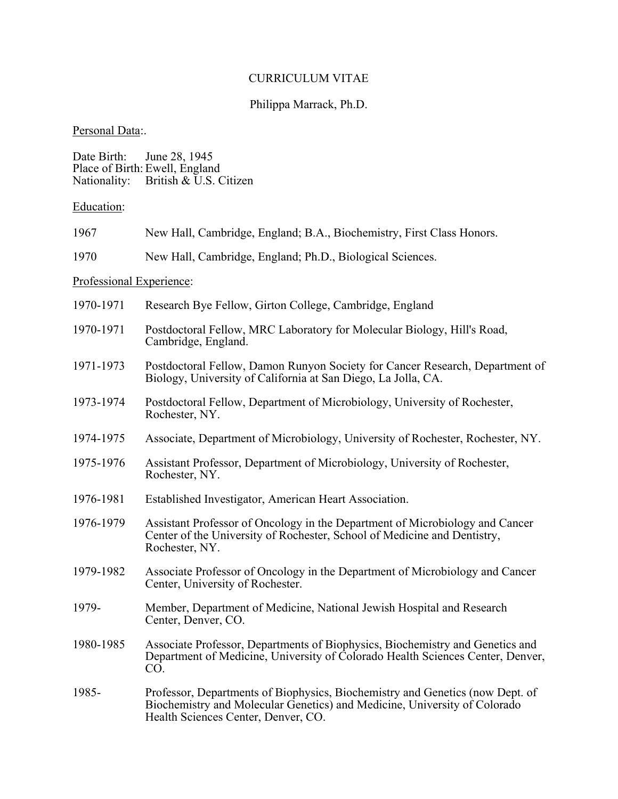### CURRICULUM VITAE

# Philippa Marrack, Ph.D.

# Personal Data:.

| Date Birth: June 28, 1945 |                                     |
|---------------------------|-------------------------------------|
|                           | Place of Birth: Ewell, England      |
|                           | Nationality: British & U.S. Citizen |

Education:

| 1967 |  |  | New Hall, Cambridge, England; B.A., Biochemistry, First Class Honors. |
|------|--|--|-----------------------------------------------------------------------|
|      |  |  |                                                                       |

1970 New Hall, Cambridge, England; Ph.D., Biological Sciences.

# Professional Experience:

| 1970-1971 | Research Bye Fellow, Girton College, Cambridge, England                                                                                                                                           |
|-----------|---------------------------------------------------------------------------------------------------------------------------------------------------------------------------------------------------|
| 1970-1971 | Postdoctoral Fellow, MRC Laboratory for Molecular Biology, Hill's Road,<br>Cambridge, England.                                                                                                    |
| 1971-1973 | Postdoctoral Fellow, Damon Runyon Society for Cancer Research, Department of<br>Biology, University of California at San Diego, La Jolla, CA.                                                     |
| 1973-1974 | Postdoctoral Fellow, Department of Microbiology, University of Rochester,<br>Rochester, NY.                                                                                                       |
| 1974-1975 | Associate, Department of Microbiology, University of Rochester, Rochester, NY.                                                                                                                    |
| 1975-1976 | Assistant Professor, Department of Microbiology, University of Rochester,<br>Rochester, NY.                                                                                                       |
| 1976-1981 | Established Investigator, American Heart Association.                                                                                                                                             |
| 1976-1979 | Assistant Professor of Oncology in the Department of Microbiology and Cancer<br>Center of the University of Rochester, School of Medicine and Dentistry,<br>Rochester, NY.                        |
| 1979-1982 | Associate Professor of Oncology in the Department of Microbiology and Cancer<br>Center, University of Rochester.                                                                                  |
| 1979-     | Member, Department of Medicine, National Jewish Hospital and Research<br>Center, Denver, CO.                                                                                                      |
| 1980-1985 | Associate Professor, Departments of Biophysics, Biochemistry and Genetics and<br>Department of Medicine, University of Colorado Health Sciences Center, Denver,<br>CO.                            |
| 1985-     | Professor, Departments of Biophysics, Biochemistry and Genetics (now Dept. of<br>Biochemistry and Molecular Genetics) and Medicine, University of Colorado<br>Health Sciences Center, Denver, CO. |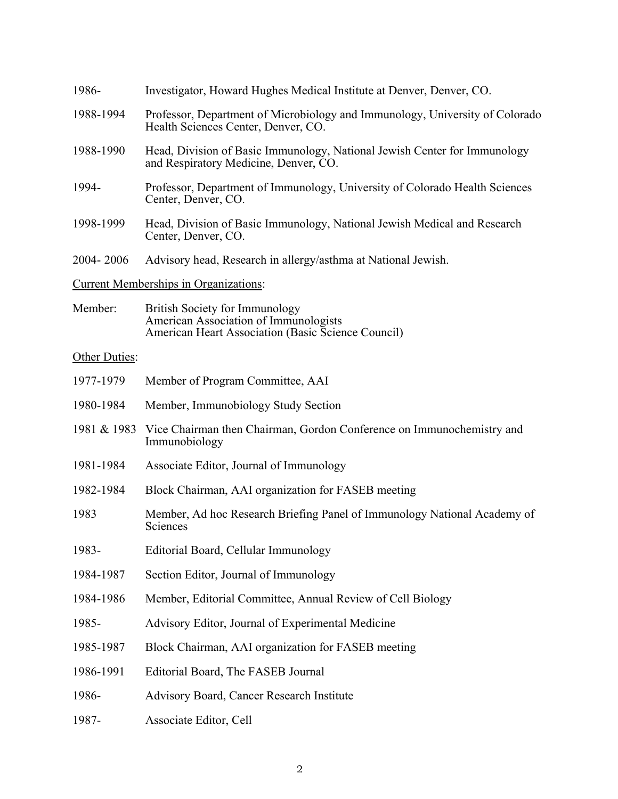| 1988-1994     | Professor, Department of Microbiology and Immunology, University of Colorado<br>Health Sciences Center, Denver, CO.           |
|---------------|-------------------------------------------------------------------------------------------------------------------------------|
| 1988-1990     | Head, Division of Basic Immunology, National Jewish Center for Immunology<br>and Respiratory Medicine, Denver, CO.            |
| 1994-         | Professor, Department of Immunology, University of Colorado Health Sciences<br>Center, Denver, CO.                            |
| 1998-1999     | Head, Division of Basic Immunology, National Jewish Medical and Research<br>Center, Denver, CO.                               |
| 2004-2006     | Advisory head, Research in allergy/asthma at National Jewish.                                                                 |
|               | <b>Current Memberships in Organizations:</b>                                                                                  |
| Member:       | British Society for Immunology<br>American Association of Immunologists<br>American Heart Association (Basic Science Council) |
| Other Duties: |                                                                                                                               |
| 1977-1979     | Member of Program Committee, AAI                                                                                              |
| 1980-1984     | Member, Immunobiology Study Section                                                                                           |
| 1981 & 1983   | Vice Chairman then Chairman, Gordon Conference on Immunochemistry and<br>Immunobiology                                        |
| 1981-1984     | Associate Editor, Journal of Immunology                                                                                       |
| 1982-1984     | Block Chairman, AAI organization for FASEB meeting                                                                            |
| 1983          | Member, Ad hoc Research Briefing Panel of Immunology National Academy of<br>Sciences                                          |
| 1983-         | Editorial Board, Cellular Immunology                                                                                          |
| 1984-1987     | Section Editor, Journal of Immunology                                                                                         |
| 1984-1986     | Member, Editorial Committee, Annual Review of Cell Biology                                                                    |
| 1985-         | Advisory Editor, Journal of Experimental Medicine                                                                             |
| 1985-1987     | Block Chairman, AAI organization for FASEB meeting                                                                            |
| 1986-1991     | Editorial Board, The FASEB Journal                                                                                            |
| 1986-         | Advisory Board, Cancer Research Institute                                                                                     |
| 1987-         | Associate Editor, Cell                                                                                                        |
|               |                                                                                                                               |

1986- Investigator, Howard Hughes Medical Institute at Denver, Denver, CO.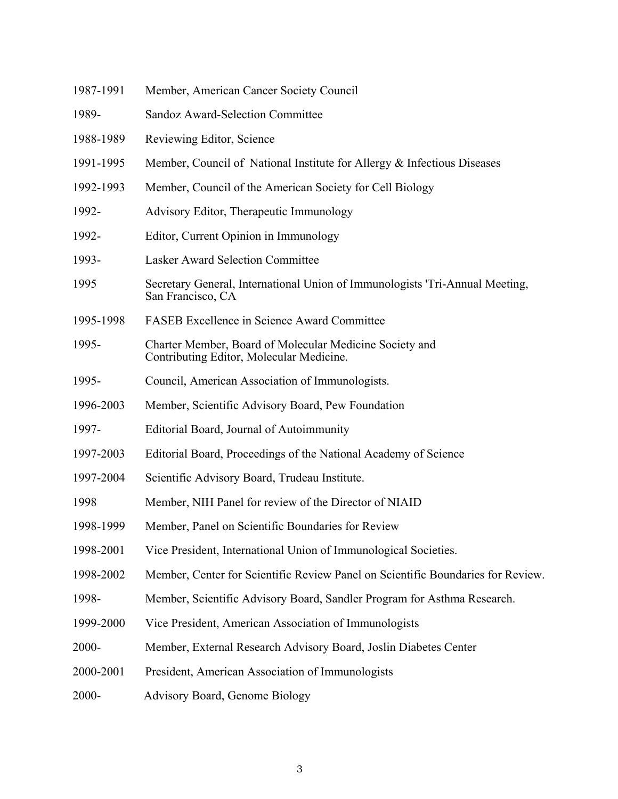| 1987-1991 | Member, American Cancer Society Council                                                             |
|-----------|-----------------------------------------------------------------------------------------------------|
| 1989-     | Sandoz Award-Selection Committee                                                                    |
| 1988-1989 | Reviewing Editor, Science                                                                           |
| 1991-1995 | Member, Council of National Institute for Allergy & Infectious Diseases                             |
| 1992-1993 | Member, Council of the American Society for Cell Biology                                            |
| 1992-     | Advisory Editor, Therapeutic Immunology                                                             |
| 1992-     | Editor, Current Opinion in Immunology                                                               |
| 1993-     | <b>Lasker Award Selection Committee</b>                                                             |
| 1995      | Secretary General, International Union of Immunologists 'Tri-Annual Meeting,<br>San Francisco, CA   |
| 1995-1998 | <b>FASEB</b> Excellence in Science Award Committee                                                  |
| 1995-     | Charter Member, Board of Molecular Medicine Society and<br>Contributing Editor, Molecular Medicine. |
| 1995-     | Council, American Association of Immunologists.                                                     |
| 1996-2003 | Member, Scientific Advisory Board, Pew Foundation                                                   |
| 1997-     | Editorial Board, Journal of Autoimmunity                                                            |
| 1997-2003 | Editorial Board, Proceedings of the National Academy of Science                                     |
| 1997-2004 | Scientific Advisory Board, Trudeau Institute.                                                       |
| 1998      | Member, NIH Panel for review of the Director of NIAID                                               |
| 1998-1999 | Member, Panel on Scientific Boundaries for Review                                                   |
| 1998-2001 | Vice President, International Union of Immunological Societies.                                     |
| 1998-2002 | Member, Center for Scientific Review Panel on Scientific Boundaries for Review.                     |
| 1998-     | Member, Scientific Advisory Board, Sandler Program for Asthma Research.                             |
| 1999-2000 | Vice President, American Association of Immunologists                                               |
| 2000-     | Member, External Research Advisory Board, Joslin Diabetes Center                                    |
| 2000-2001 | President, American Association of Immunologists                                                    |
| 2000-     | <b>Advisory Board, Genome Biology</b>                                                               |
|           |                                                                                                     |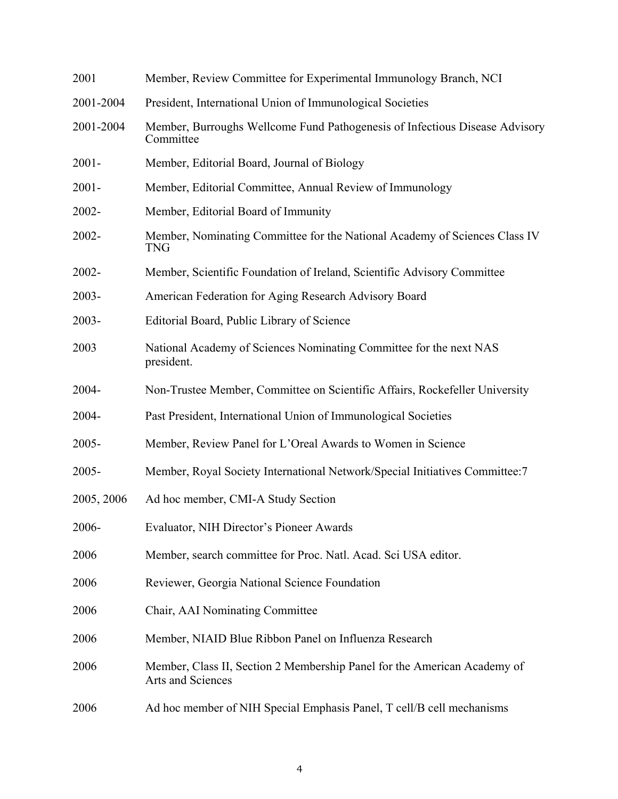| 2001       | Member, Review Committee for Experimental Immunology Branch, NCI                              |
|------------|-----------------------------------------------------------------------------------------------|
| 2001-2004  | President, International Union of Immunological Societies                                     |
| 2001-2004  | Member, Burroughs Wellcome Fund Pathogenesis of Infectious Disease Advisory<br>Committee      |
| $2001 -$   | Member, Editorial Board, Journal of Biology                                                   |
| $2001 -$   | Member, Editorial Committee, Annual Review of Immunology                                      |
| 2002-      | Member, Editorial Board of Immunity                                                           |
| 2002-      | Member, Nominating Committee for the National Academy of Sciences Class IV<br>TNG             |
| 2002-      | Member, Scientific Foundation of Ireland, Scientific Advisory Committee                       |
| $2003 -$   | American Federation for Aging Research Advisory Board                                         |
| $2003 -$   | Editorial Board, Public Library of Science                                                    |
| 2003       | National Academy of Sciences Nominating Committee for the next NAS<br>president.              |
| 2004-      | Non-Trustee Member, Committee on Scientific Affairs, Rockefeller University                   |
| 2004-      | Past President, International Union of Immunological Societies                                |
| $2005 -$   | Member, Review Panel for L'Oreal Awards to Women in Science                                   |
| 2005-      | Member, Royal Society International Network/Special Initiatives Committee:7                   |
| 2005, 2006 | Ad hoc member, CMI-A Study Section                                                            |
| 2006-      | Evaluator, NIH Director's Pioneer Awards                                                      |
| 2006       | Member, search committee for Proc. Natl. Acad. Sci USA editor.                                |
| 2006       | Reviewer, Georgia National Science Foundation                                                 |
| 2006       | Chair, AAI Nominating Committee                                                               |
| 2006       | Member, NIAID Blue Ribbon Panel on Influenza Research                                         |
| 2006       | Member, Class II, Section 2 Membership Panel for the American Academy of<br>Arts and Sciences |
| 2006       | Ad hoc member of NIH Special Emphasis Panel, T cell/B cell mechanisms                         |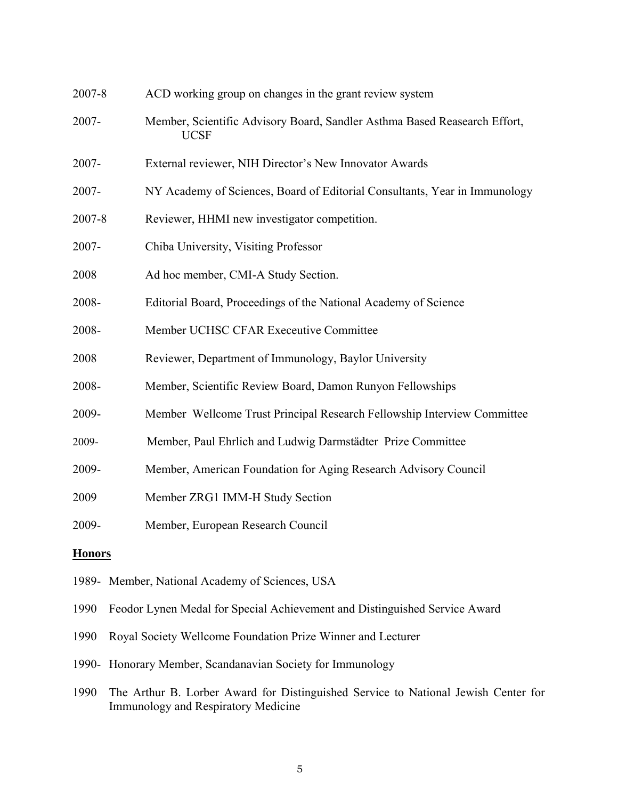| 2007-8        | ACD working group on changes in the grant review system                                  |
|---------------|------------------------------------------------------------------------------------------|
| 2007-         | Member, Scientific Advisory Board, Sandler Asthma Based Reasearch Effort,<br><b>UCSF</b> |
| 2007-         | External reviewer, NIH Director's New Innovator Awards                                   |
| 2007-         | NY Academy of Sciences, Board of Editorial Consultants, Year in Immunology               |
| 2007-8        | Reviewer, HHMI new investigator competition.                                             |
| 2007-         | Chiba University, Visiting Professor                                                     |
| 2008          | Ad hoc member, CMI-A Study Section.                                                      |
| 2008-         | Editorial Board, Proceedings of the National Academy of Science                          |
| 2008-         | Member UCHSC CFAR Execeutive Committee                                                   |
| 2008          | Reviewer, Department of Immunology, Baylor University                                    |
| 2008-         | Member, Scientific Review Board, Damon Runyon Fellowships                                |
| 2009-         | Member Wellcome Trust Principal Research Fellowship Interview Committee                  |
| 2009-         | Member, Paul Ehrlich and Ludwig Darmstädter Prize Committee                              |
| 2009-         | Member, American Foundation for Aging Research Advisory Council                          |
| 2009          | Member ZRG1 IMM-H Study Section                                                          |
| 2009-         | Member, European Research Council                                                        |
| <b>Honors</b> |                                                                                          |

- 1989- Member, National Academy of Sciences, USA
- 1990 Feodor Lynen Medal for Special Achievement and Distinguished Service Award
- 1990 Royal Society Wellcome Foundation Prize Winner and Lecturer
- 1990- Honorary Member, Scandanavian Society for Immunology
- 1990 The Arthur B. Lorber Award for Distinguished Service to National Jewish Center for Immunology and Respiratory Medicine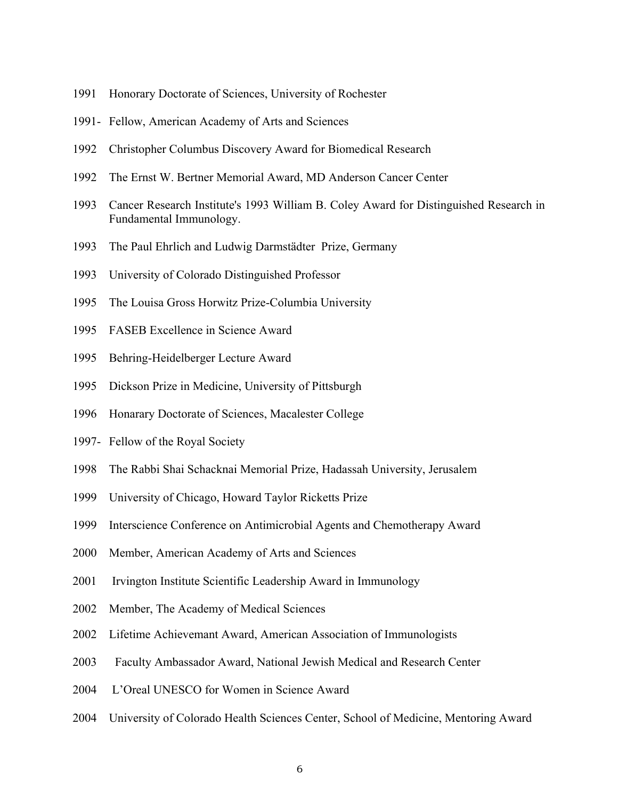- 1991 Honorary Doctorate of Sciences, University of Rochester
- 1991- Fellow, American Academy of Arts and Sciences
- 1992 Christopher Columbus Discovery Award for Biomedical Research
- 1992 The Ernst W. Bertner Memorial Award, MD Anderson Cancer Center
- 1993 Cancer Research Institute's 1993 William B. Coley Award for Distinguished Research in Fundamental Immunology.
- 1993 The Paul Ehrlich and Ludwig Darmstädter Prize, Germany
- 1993 University of Colorado Distinguished Professor
- 1995 The Louisa Gross Horwitz Prize-Columbia University
- 1995 FASEB Excellence in Science Award
- 1995 Behring-Heidelberger Lecture Award
- 1995 Dickson Prize in Medicine, University of Pittsburgh
- 1996 Honarary Doctorate of Sciences, Macalester College
- 1997- Fellow of the Royal Society
- 1998 The Rabbi Shai Schacknai Memorial Prize, Hadassah University, Jerusalem
- 1999 University of Chicago, Howard Taylor Ricketts Prize
- 1999 Interscience Conference on Antimicrobial Agents and Chemotherapy Award
- 2000 Member, American Academy of Arts and Sciences
- 2001 Irvington Institute Scientific Leadership Award in Immunology
- 2002 Member, The Academy of Medical Sciences
- 2002 Lifetime Achievemant Award, American Association of Immunologists
- 2003 Faculty Ambassador Award, National Jewish Medical and Research Center
- 2004 L'Oreal UNESCO for Women in Science Award
- 2004 University of Colorado Health Sciences Center, School of Medicine, Mentoring Award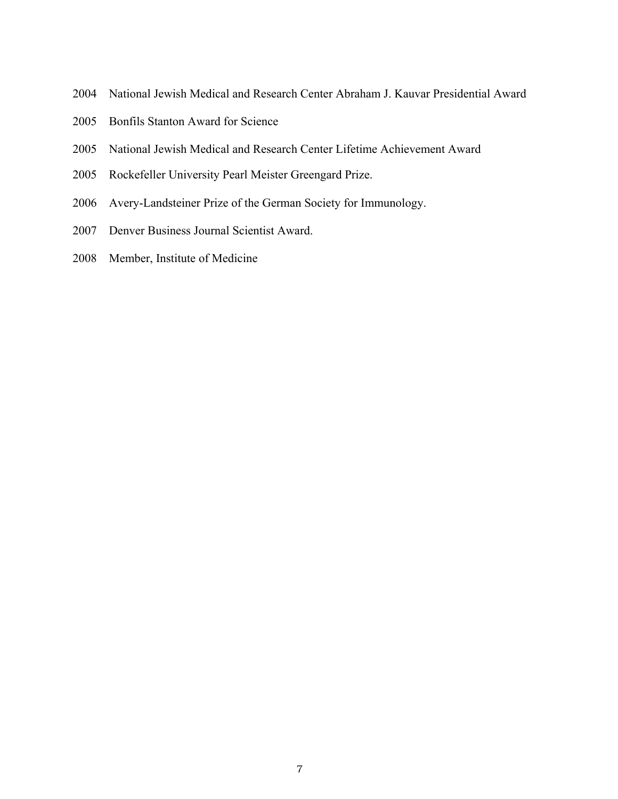- 2004 National Jewish Medical and Research Center Abraham J. Kauvar Presidential Award
- 2005 Bonfils Stanton Award for Science
- 2005 National Jewish Medical and Research Center Lifetime Achievement Award
- 2005 Rockefeller University Pearl Meister Greengard Prize.
- 2006 Avery-Landsteiner Prize of the German Society for Immunology.
- 2007 Denver Business Journal Scientist Award.
- 2008 Member, Institute of Medicine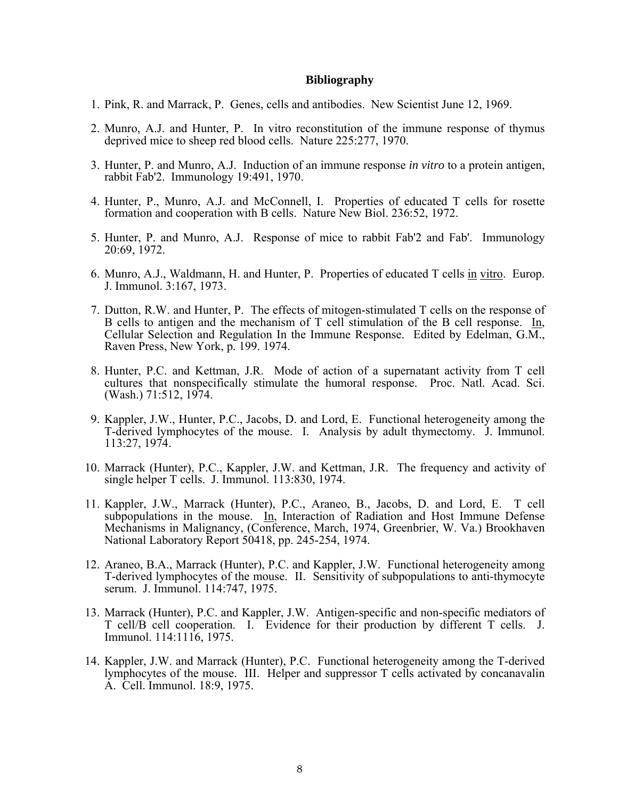#### **Bibliography**

- 1. Pink, R. and Marrack, P. Genes, cells and antibodies. New Scientist June 12, 1969.
- 2. Munro, A.J. and Hunter, P. In vitro reconstitution of the immune response of thymus deprived mice to sheep red blood cells. Nature 225:277, 1970.
- 3. Hunter, P. and Munro, A.J. Induction of an immune response *in vitro* to a protein antigen, rabbit Fab'2. Immunology 19:491, 1970.
- 4. Hunter, P., Munro, A.J. and McConnell, I. Properties of educated T cells for rosette formation and cooperation with B cells. Nature New Biol. 236:52, 1972.
- 5. Hunter, P. and Munro, A.J. Response of mice to rabbit Fab'2 and Fab'. Immunology 20:69, 1972.
- 6. Munro, A.J., Waldmann, H. and Hunter, P. Properties of educated T cells in vitro. Europ. J. Immunol. 3:167, 1973.
- 7. Dutton, R.W. and Hunter, P. The effects of mitogen-stimulated T cells on the response of B cells to antigen and the mechanism of T cell stimulation of the B cell response. In, Cellular Selection and Regulation In the Immune Response. Edited by Edelman, G.M., Raven Press, New York, p. 199. 1974.
- 8. Hunter, P.C. and Kettman, J.R. Mode of action of a supernatant activity from T cell cultures that nonspecifically stimulate the humoral response. Proc. Natl. Acad. Sci. (Wash.) 71:512, 1974.
- 9. Kappler, J.W., Hunter, P.C., Jacobs, D. and Lord, E. Functional heterogeneity among the T-derived lymphocytes of the mouse. I. Analysis by adult thymectomy. J. Immunol. 113:27, 1974.
- 10. Marrack (Hunter), P.C., Kappler, J.W. and Kettman, J.R. The frequency and activity of single helper T cells. J. Immunol. 113:830, 1974.
- 11. Kappler, J.W., Marrack (Hunter), P.C., Araneo, B., Jacobs, D. and Lord, E. T cell subpopulations in the mouse. In, Interaction of Radiation and Host Immune Defense Mechanisms in Malignancy, (Conference, March, 1974, Greenbrier, W. Va.) Brookhaven National Laboratory Report 50418, pp. 245-254, 1974.
- 12. Araneo, B.A., Marrack (Hunter), P.C. and Kappler, J.W. Functional heterogeneity among T-derived lymphocytes of the mouse. II. Sensitivity of subpopulations to anti-thymocyte serum. J. Immunol. 114:747, 1975.
- 13. Marrack (Hunter), P.C. and Kappler, J.W. Antigen-specific and non-specific mediators of T cell/B cell cooperation. I. Evidence for their production by different T cells. J. Immunol. 114:1116, 1975.
- 14. Kappler, J.W. and Marrack (Hunter), P.C. Functional heterogeneity among the T-derived lymphocytes of the mouse. III. Helper and suppressor T cells activated by concanavalin A. Cell. Immunol. 18:9, 1975.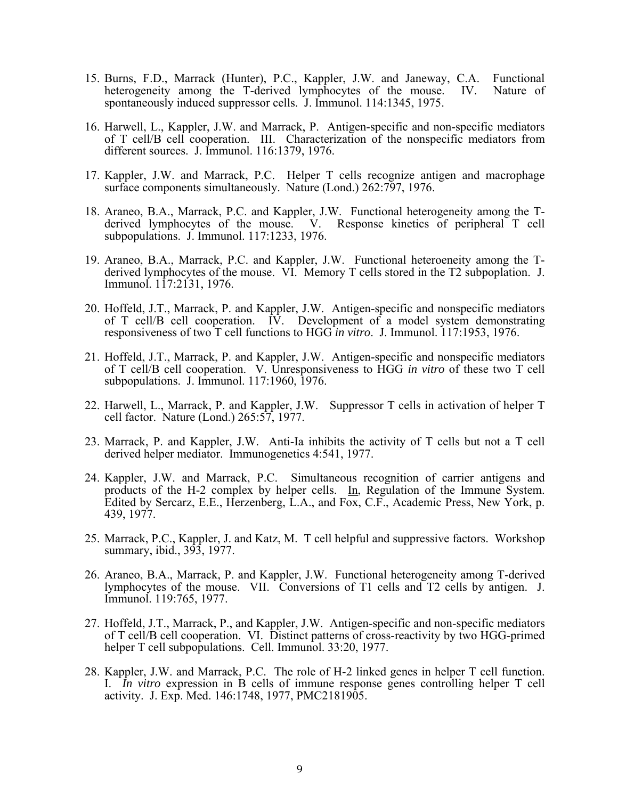- 15. Burns, F.D., Marrack (Hunter), P.C., Kappler, J.W. and Janeway, C.A. Functional heterogeneity among the T-derived lymphocytes of the mouse. IV. Nature of spontaneously induced suppressor cells. J. Immunol. 114:1345, 1975.
	- 16. Harwell, L., Kappler, J.W. and Marrack, P. Antigen-specific and non-specific mediators of T cell/B cell cooperation. III. Characterization of the nonspecific mediators from different sources. J. Immunol. 116:1379, 1976.
	- 17. Kappler, J.W. and Marrack, P.C. Helper T cells recognize antigen and macrophage surface components simultaneously. Nature (Lond.) 262:797, 1976.
	- 18. Araneo, B.A., Marrack, P.C. and Kappler, J.W. Functional heterogeneity among the Tderived lymphocytes of the mouse. V. Response kinetics of peripheral T cell subpopulations. J. Immunol. 117:1233, 1976.
	- 19. Araneo, B.A., Marrack, P.C. and Kappler, J.W. Functional heteroeneity among the Tderived lymphocytes of the mouse. VI. Memory T cells stored in the T2 subpoplation. J. Immunol. 117:2131, 1976.
	- 20. Hoffeld, J.T., Marrack, P. and Kappler, J.W. Antigen-specific and nonspecific mediators of T cell/B cell cooperation. IV. Development of a model system demonstrating responsiveness of two T cell functions to HGG *in vitro*. J. Immunol. 117:1953, 1976.
	- 21. Hoffeld, J.T., Marrack, P. and Kappler, J.W. Antigen-specific and nonspecific mediators of T cell/B cell cooperation. V. Unresponsiveness to HGG *in vitro* of these two T cell subpopulations. J. Immunol. 117:1960, 1976.
	- 22. Harwell, L., Marrack, P. and Kappler, J.W. Suppressor T cells in activation of helper T cell factor. Nature (Lond.) 265:57, 1977.
	- 23. Marrack, P. and Kappler, J.W. Anti-Ia inhibits the activity of T cells but not a T cell derived helper mediator. Immunogenetics 4:541, 1977.
	- 24. Kappler, J.W. and Marrack, P.C. Simultaneous recognition of carrier antigens and products of the H-2 complex by helper cells. In, Regulation of the Immune System. Edited by Sercarz, E.E., Herzenberg, L.A., and Fox, C.F., Academic Press, New York, p. 439, 1977.
	- 25. Marrack, P.C., Kappler, J. and Katz, M. T cell helpful and suppressive factors. Workshop summary, ibid., 393, 1977.
	- 26. Araneo, B.A., Marrack, P. and Kappler, J.W. Functional heterogeneity among T-derived lymphocytes of the mouse. VII. Conversions of T1 cells and T2 cells by antigen. J. Immunol. 119:765, 1977.
	- 27. Hoffeld, J.T., Marrack, P., and Kappler, J.W. Antigen-specific and non-specific mediators of T cell/B cell cooperation. VI. Distinct patterns of cross-reactivity by two HGG-primed helper T cell subpopulations. Cell. Immunol. 33:20, 1977.
	- 28. Kappler, J.W. and Marrack, P.C. The role of H-2 linked genes in helper T cell function. I. *In vitro* expression in B cells of immune response genes controlling helper T cell activity. J. Exp. Med. 146:1748, 1977, PMC2181905.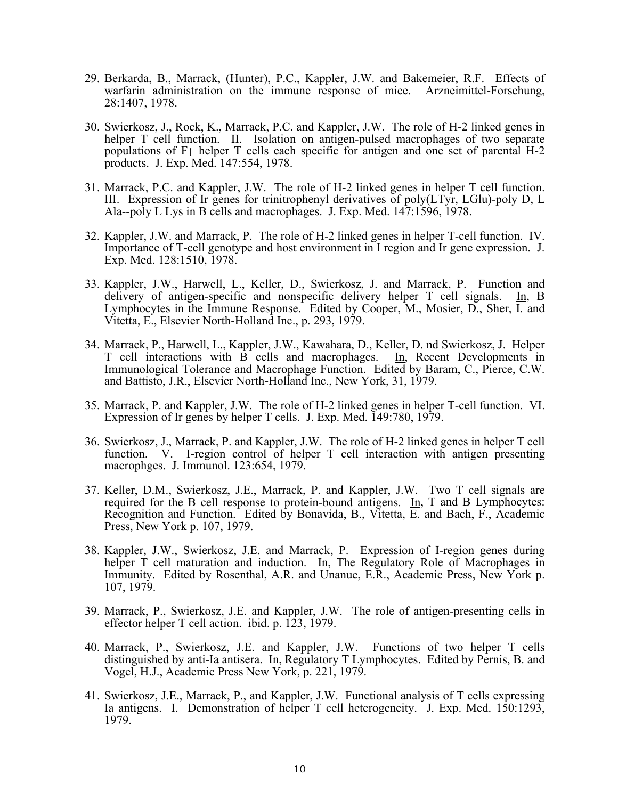- 29. Berkarda, B., Marrack, (Hunter), P.C., Kappler, J.W. and Bakemeier, R.F. Effects of warfarin administration on the immune response of mice. Arzneimittel-Forschung, 28:1407, 1978.
- 30. Swierkosz, J., Rock, K., Marrack, P.C. and Kappler, J.W. The role of H-2 linked genes in helper T cell function. II. Isolation on antigen-pulsed macrophages of two separate populations of F1 helper T cells each specific for antigen and one set of parental H-2 products. J. Exp. Med. 147:554, 1978.
- 31. Marrack, P.C. and Kappler, J.W. The role of H-2 linked genes in helper T cell function. III. Expression of Ir genes for trinitrophenyl derivatives of poly(LTyr, LGlu)-poly D, L Ala--poly L Lys in B cells and macrophages. J. Exp. Med. 147:1596, 1978.
- 32. Kappler, J.W. and Marrack, P. The role of H-2 linked genes in helper T-cell function. IV. Importance of T-cell genotype and host environment in I region and Ir gene expression. J. Exp. Med. 128:1510, 1978.
- 33. Kappler, J.W., Harwell, L., Keller, D., Swierkosz, J. and Marrack, P. Function and delivery of antigen-specific and nonspecific delivery helper T cell signals. In, B Lymphocytes in the Immune Response. Edited by Cooper, M., Mosier, D., Sher,  $\overline{I}$  and Vitetta, E., Elsevier North-Holland Inc., p. 293, 1979.
- 34. Marrack, P., Harwell, L., Kappler, J.W., Kawahara, D., Keller, D. nd Swierkosz, J. Helper T cell interactions with B cells and macrophages. In, Recent Developments in Immunological Tolerance and Macrophage Function. Edited by Baram, C., Pierce, C.W. and Battisto, J.R., Elsevier North-Holland Inc., New York, 31, 1979.
- 35. Marrack, P. and Kappler, J.W. The role of H-2 linked genes in helper T-cell function. VI. Expression of Ir genes by helper T cells. J. Exp. Med. 149:780, 1979.
- 36. Swierkosz, J., Marrack, P. and Kappler, J.W. The role of H-2 linked genes in helper T cell function. V. I-region control of helper T cell interaction with antigen presenting macrophges. J. Immunol. 123:654, 1979.
- 37. Keller, D.M., Swierkosz, J.E., Marrack, P. and Kappler, J.W. Two T cell signals are required for the B cell response to protein-bound antigens. In, T and B Lymphocytes: Recognition and Function. Edited by Bonavida, B., Vitetta, E. and Bach, F., Academic Press, New York p. 107, 1979.
- 38. Kappler, J.W., Swierkosz, J.E. and Marrack, P. Expression of I-region genes during helper T cell maturation and induction. In, The Regulatory Role of Macrophages in Immunity. Edited by Rosenthal, A.R. and Unanue, E.R., Academic Press, New York p. 107, 1979.
- 39. Marrack, P., Swierkosz, J.E. and Kappler, J.W. The role of antigen-presenting cells in effector helper T cell action. ibid. p.  $123$ , 1979.
- 40. Marrack, P., Swierkosz, J.E. and Kappler, J.W. Functions of two helper T cells distinguished by anti-Ia antisera. In, Regulatory T Lymphocytes. Edited by Pernis, B. and Vogel, H.J., Academic Press New York, p. 221, 1979.
- 41. Swierkosz, J.E., Marrack, P., and Kappler, J.W. Functional analysis of T cells expressing Ia antigens. I. Demonstration of helper T cell heterogeneity. J. Exp. Med. 150:1293, 1979.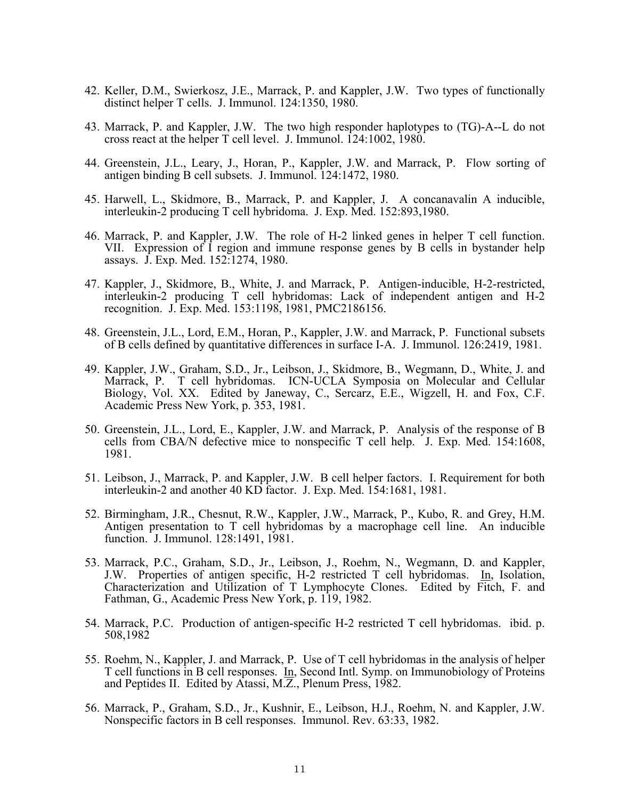- 42. Keller, D.M., Swierkosz, J.E., Marrack, P. and Kappler, J.W. Two types of functionally distinct helper T cells. J. Immunol. 124:1350, 1980.
- 43. Marrack, P. and Kappler, J.W. The two high responder haplotypes to (TG)-A--L do not cross react at the helper T cell level. J. Immunol. 124:1002, 1980.
- 44. Greenstein, J.L., Leary, J., Horan, P., Kappler, J.W. and Marrack, P. Flow sorting of antigen binding B cell subsets. J. Immunol. 124:1472, 1980.
- 45. Harwell, L., Skidmore, B., Marrack, P. and Kappler, J. A concanavalin A inducible, interleukin-2 producing T cell hybridoma. J. Exp. Med. 152:893,1980.
- 46. Marrack, P. and Kappler, J.W. The role of H-2 linked genes in helper T cell function. VII. Expression of I region and immune response genes by B cells in bystander help assays. J. Exp. Med. 152:1274, 1980.
- 47. Kappler, J., Skidmore, B., White, J. and Marrack, P. Antigen-inducible, H-2-restricted, interleukin-2 producing T cell hybridomas: Lack of independent antigen and H-2 recognition. J. Exp. Med. 153:1198, 1981, PMC2186156.
- 48. Greenstein, J.L., Lord, E.M., Horan, P., Kappler, J.W. and Marrack, P. Functional subsets of B cells defined by quantitative differences in surface I-A. J. Immunol. 126:2419, 1981.
- 49. Kappler, J.W., Graham, S.D., Jr., Leibson, J., Skidmore, B., Wegmann, D., White, J. and Marrack, P. T cell hybridomas. ICN-UCLA Symposia on Molecular and Cellular Biology, Vol. XX. Edited by Janeway, C., Sercarz, E.E., Wigzell, H. and Fox, C.F. Academic Press New York, p. 353, 1981.
- 50. Greenstein, J.L., Lord, E., Kappler, J.W. and Marrack, P. Analysis of the response of B cells from CBA/N defective mice to nonspecific T cell help. J. Exp. Med. 154:1608, 1981.
- 51. Leibson, J., Marrack, P. and Kappler, J.W. B cell helper factors. I. Requirement for both interleukin-2 and another 40 KD factor. J. Exp. Med. 154:1681, 1981.
- 52. Birmingham, J.R., Chesnut, R.W., Kappler, J.W., Marrack, P., Kubo, R. and Grey, H.M. Antigen presentation to T cell hybridomas by a macrophage cell line. An inducible function. J. Immunol. 128:1491, 1981.
- 53. Marrack, P.C., Graham, S.D., Jr., Leibson, J., Roehm, N., Wegmann, D. and Kappler, J.W. Properties of antigen specific, H-2 restricted T cell hybridomas. In, Isolation, Characterization and Utilization of T Lymphocyte Clones. Edited by Fitch, F. and Fathman, G., Academic Press New York, p. 119, 1982.
- 54. Marrack, P.C. Production of antigen-specific H-2 restricted T cell hybridomas. ibid. p. 508,1982
- 55. Roehm, N., Kappler, J. and Marrack, P. Use of T cell hybridomas in the analysis of helper T cell functions in B cell responses. In, Second Intl. Symp. on Immunobiology of Proteins and Peptides II. Edited by Atassi, M.Z., Plenum Press, 1982.
- 56. Marrack, P., Graham, S.D., Jr., Kushnir, E., Leibson, H.J., Roehm, N. and Kappler, J.W. Nonspecific factors in B cell responses. Immunol. Rev. 63:33, 1982.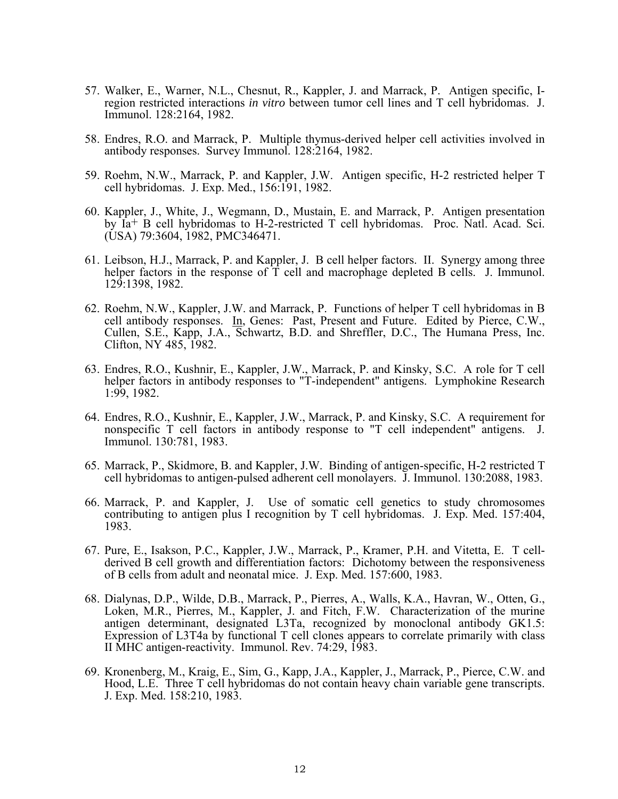- 57. Walker, E., Warner, N.L., Chesnut, R., Kappler, J. and Marrack, P. Antigen specific, Iregion restricted interactions *in vitro* between tumor cell lines and T cell hybridomas. J. Immunol. 128:2164, 1982.
- 58. Endres, R.O. and Marrack, P. Multiple thymus-derived helper cell activities involved in antibody responses. Survey Immunol. 128:2164, 1982.
- 59. Roehm, N.W., Marrack, P. and Kappler, J.W. Antigen specific, H-2 restricted helper T cell hybridomas. J. Exp. Med., 156:191, 1982.
- 60. Kappler, J., White, J., Wegmann, D., Mustain, E. and Marrack, P. Antigen presentation by Ia+ B cell hybridomas to H-2-restricted T cell hybridomas. Proc. Natl. Acad. Sci. (USA) 79:3604, 1982, PMC346471.
- 61. Leibson, H.J., Marrack, P. and Kappler, J. B cell helper factors. II. Synergy among three helper factors in the response of  $\overline{T}$  cell and macrophage depleted B cells. J. Immunol. 129:1398, 1982.
- 62. Roehm, N.W., Kappler, J.W. and Marrack, P. Functions of helper T cell hybridomas in B cell antibody responses. In, Genes: Past, Present and Future. Edited by Pierce, C.W., Cullen, S.E., Kapp, J.A., Schwartz, B.D. and Shreffler, D.C., The Humana Press, Inc. Clifton, NY 485, 1982.
- 63. Endres, R.O., Kushnir, E., Kappler, J.W., Marrack, P. and Kinsky, S.C. A role for T cell helper factors in antibody responses to "T-independent" antigens. Lymphokine Research 1:99, 1982.
- 64. Endres, R.O., Kushnir, E., Kappler, J.W., Marrack, P. and Kinsky, S.C. A requirement for nonspecific T cell factors in antibody response to "T cell independent" antigens. J. Immunol. 130:781, 1983.
- 65. Marrack, P., Skidmore, B. and Kappler, J.W. Binding of antigen-specific, H-2 restricted T cell hybridomas to antigen-pulsed adherent cell monolayers. J. Immunol. 130:2088, 1983.
- 66. Marrack, P. and Kappler, J. Use of somatic cell genetics to study chromosomes contributing to antigen plus I recognition by T cell hybridomas. J. Exp. Med. 157:404, 1983.
- 67. Pure, E., Isakson, P.C., Kappler, J.W., Marrack, P., Kramer, P.H. and Vitetta, E. T cellderived B cell growth and differentiation factors: Dichotomy between the responsiveness of B cells from adult and neonatal mice. J. Exp. Med. 157:600, 1983.
- 68. Dialynas, D.P., Wilde, D.B., Marrack, P., Pierres, A., Walls, K.A., Havran, W., Otten, G., Loken, M.R., Pierres, M., Kappler, J. and Fitch, F.W. Characterization of the murine antigen determinant, designated L3Ta, recognized by monoclonal antibody GK1.5: Expression of L3T4a by functional T cell clones appears to correlate primarily with class II MHC antigen-reactivity. Immunol. Rev. 74:29, 1983.
- 69. Kronenberg, M., Kraig, E., Sim, G., Kapp, J.A., Kappler, J., Marrack, P., Pierce, C.W. and Hood, L.E. Three T cell hybridomas do not contain heavy chain variable gene transcripts. J. Exp. Med. 158:210, 1983.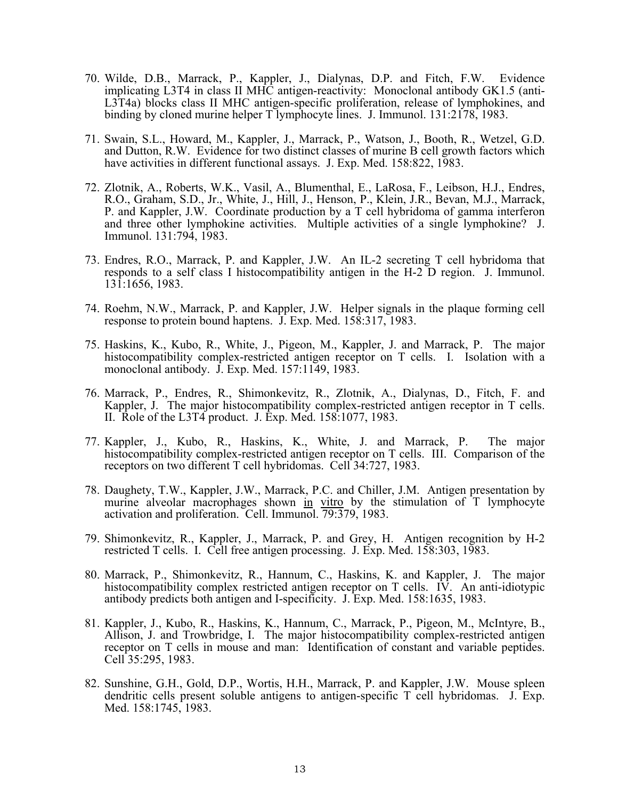- 70. Wilde, D.B., Marrack, P., Kappler, J., Dialynas, D.P. and Fitch, F.W. Evidence implicating L3T4 in class II MHC antigen-reactivity: Monoclonal antibody GK1.5 (anti-L3T4a) blocks class II MHC antigen-specific proliferation, release of lymphokines, and binding by cloned murine helper T lymphocyte lines. J. Immunol. 131:2178, 1983.
- 71. Swain, S.L., Howard, M., Kappler, J., Marrack, P., Watson, J., Booth, R., Wetzel, G.D. and Dutton, R.W. Evidence for two distinct classes of murine B cell growth factors which have activities in different functional assays. J. Exp. Med. 158:822, 1983.
- 72. Zlotnik, A., Roberts, W.K., Vasil, A., Blumenthal, E., LaRosa, F., Leibson, H.J., Endres, R.O., Graham, S.D., Jr., White, J., Hill, J., Henson, P., Klein, J.R., Bevan, M.J., Marrack, P. and Kappler, J.W. Coordinate production by a T cell hybridoma of gamma interferon and three other lymphokine activities. Multiple activities of a single lymphokine? J. Immunol. 131:794, 1983.
- 73. Endres, R.O., Marrack, P. and Kappler, J.W. An IL-2 secreting T cell hybridoma that responds to a self class I histocompatibility antigen in the H-2 D region. J. Immunol. 131:1656, 1983.
- 74. Roehm, N.W., Marrack, P. and Kappler, J.W. Helper signals in the plaque forming cell response to protein bound haptens. J. Exp. Med. 158:317, 1983.
- 75. Haskins, K., Kubo, R., White, J., Pigeon, M., Kappler, J. and Marrack, P. The major histocompatibility complex-restricted antigen receptor on T cells. I. Isolation with a monoclonal antibody. J. Exp. Med. 157:1149, 1983.
- 76. Marrack, P., Endres, R., Shimonkevitz, R., Zlotnik, A., Dialynas, D., Fitch, F. and Kappler, J. The major histocompatibility complex-restricted antigen receptor in T cells. II. Role of the L3T4 product. J. Exp. Med. 158:1077, 1983.
	- 77. Kappler, J., Kubo, R., Haskins, K., White, J. and Marrack, P. The major histocompatibility complex-restricted antigen receptor on T cells. III. Comparison of the receptors on two different T cell hybridomas. Cell 34:727, 1983.
	- 78. Daughety, T.W., Kappler, J.W., Marrack, P.C. and Chiller, J.M. Antigen presentation by murine alveolar macrophages shown in vitro by the stimulation of T lymphocyte activation and proliferation. Cell. Immunol. 79:379, 1983.
	- 79. Shimonkevitz, R., Kappler, J., Marrack, P. and Grey, H. Antigen recognition by H-2 restricted T cells. I. Cell free antigen processing. J. Exp. Med. 158:303, 1983.
	- 80. Marrack, P., Shimonkevitz, R., Hannum, C., Haskins, K. and Kappler, J. The major histocompatibility complex restricted antigen receptor on T cells. IV. An anti-idiotypic antibody predicts both antigen and I-specificity. J. Exp. Med. 158:1635, 1983.
	- 81. Kappler, J., Kubo, R., Haskins, K., Hannum, C., Marrack, P., Pigeon, M., McIntyre, B., Allison, J. and Trowbridge, I. The major histocompatibility complex-restricted antigen receptor on T cells in mouse and man: Identification of constant and variable peptides. Cell 35:295, 1983.
	- 82. Sunshine, G.H., Gold, D.P., Wortis, H.H., Marrack, P. and Kappler, J.W. Mouse spleen dendritic cells present soluble antigens to antigen-specific T cell hybridomas. J. Exp. Med. 158:1745, 1983.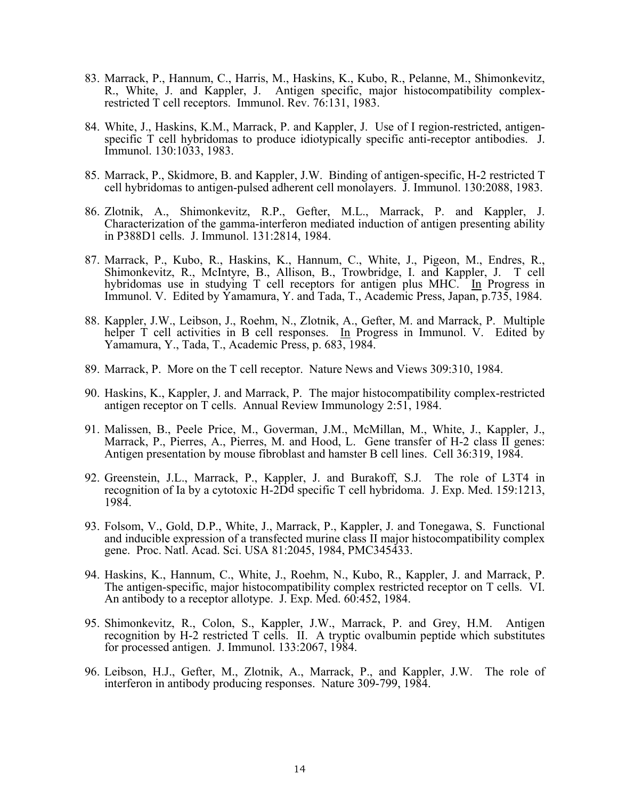- 83. Marrack, P., Hannum, C., Harris, M., Haskins, K., Kubo, R., Pelanne, M., Shimonkevitz, R., White, J. and Kappler, J. Antigen specific, major histocompatibility complexrestricted T cell receptors. Immunol. Rev. 76:131, 1983.
- 84. White, J., Haskins, K.M., Marrack, P. and Kappler, J. Use of I region-restricted, antigenspecific T cell hybridomas to produce idiotypically specific anti-receptor antibodies. J. Immunol. 130:1033, 1983.
- 85. Marrack, P., Skidmore, B. and Kappler, J.W. Binding of antigen-specific, H-2 restricted T cell hybridomas to antigen-pulsed adherent cell monolayers. J. Immunol. 130:2088, 1983.
- 86. Zlotnik, A., Shimonkevitz, R.P., Gefter, M.L., Marrack, P. and Kappler, J. Characterization of the gamma-interferon mediated induction of antigen presenting ability in P388D1 cells. J. Immunol. 131:2814, 1984.
- 87. Marrack, P., Kubo, R., Haskins, K., Hannum, C., White, J., Pigeon, M., Endres, R., Shimonkevitz, R., McIntyre, B., Allison, B., Trowbridge, I. and Kappler, J. T cell hybridomas use in studying T cell receptors for antigen plus MHC. In Progress in Immunol. V. Edited by Yamamura, Y. and Tada, T., Academic Press, Japan, p.735, 1984.
	- 88. Kappler, J.W., Leibson, J., Roehm, N., Zlotnik, A., Gefter, M. and Marrack, P. Multiple helper T cell activities in B cell responses. In Progress in Immunol. V. Edited by Yamamura, Y., Tada, T., Academic Press, p. 683, 1984.
	- 89. Marrack, P. More on the T cell receptor. Nature News and Views 309:310, 1984.
	- 90. Haskins, K., Kappler, J. and Marrack, P. The major histocompatibility complex-restricted antigen receptor on T cells. Annual Review Immunology 2:51, 1984.
	- 91. Malissen, B., Peele Price, M., Goverman, J.M., McMillan, M., White, J., Kappler, J., Marrack, P., Pierres, A., Pierres, M. and Hood, L. Gene transfer of H-2 class II genes: Antigen presentation by mouse fibroblast and hamster B cell lines. Cell 36:319, 1984.
	- 92. Greenstein, J.L., Marrack, P., Kappler, J. and Burakoff, S.J. The role of L3T4 in recognition of Ia by a cytotoxic H-2Dd specific T cell hybridoma. J. Exp. Med. 159:1213, 1984.
	- 93. Folsom, V., Gold, D.P., White, J., Marrack, P., Kappler, J. and Tonegawa, S. Functional and inducible expression of a transfected murine class II major histocompatibility complex gene. Proc. Natl. Acad. Sci. USA 81:2045, 1984, PMC345433.
	- 94. Haskins, K., Hannum, C., White, J., Roehm, N., Kubo, R., Kappler, J. and Marrack, P. The antigen-specific, major histocompatibility complex restricted receptor on T cells. VI. An antibody to a receptor allotype. J. Exp. Med. 60:452, 1984.
	- 95. Shimonkevitz, R., Colon, S., Kappler, J.W., Marrack, P. and Grey, H.M. Antigen recognition by H-2 restricted T cells. II. A tryptic ovalbumin peptide which substitutes for processed antigen. J. Immunol. 133:2067, 1984.
	- 96. Leibson, H.J., Gefter, M., Zlotnik, A., Marrack, P., and Kappler, J.W. The role of interferon in antibody producing responses. Nature 309-799, 1984.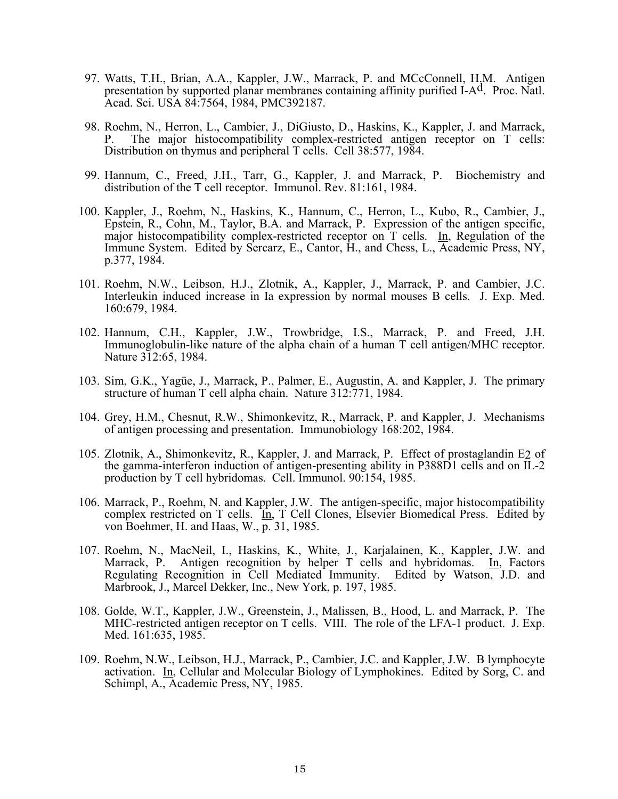- 97. Watts, T.H., Brian, A.A., Kappler, J.W., Marrack, P. and MCcConnell, H.M. Antigen presentation by supported planar membranes containing affinity purified I-A<sup>d</sup>. Proc. Natl. Acad. Sci. USA 84:7564, 1984, PMC392187.
- 98. Roehm, N., Herron, L., Cambier, J., DiGiusto, D., Haskins, K., Kappler, J. and Marrack, P. The major histocompatibility complex-restricted antigen receptor on T cells: Distribution on thymus and peripheral T cells. Cell 38:577, 1984.
- 99. Hannum, C., Freed, J.H., Tarr, G., Kappler, J. and Marrack, P. Biochemistry and distribution of the T cell receptor. Immunol. Rev. 81:161, 1984.
- 100. Kappler, J., Roehm, N., Haskins, K., Hannum, C., Herron, L., Kubo, R., Cambier, J., Epstein, R., Cohn, M., Taylor, B.A. and Marrack, P. Expression of the antigen specific, major histocompatibility complex-restricted receptor on T cells. In, Regulation of the Immune System. Edited by Sercarz, E., Cantor, H., and Chess, L., Academic Press, NY, p.377, 1984.
- 101. Roehm, N.W., Leibson, H.J., Zlotnik, A., Kappler, J., Marrack, P. and Cambier, J.C. Interleukin induced increase in Ia expression by normal mouses B cells. J. Exp. Med. 160:679, 1984.
- 102. Hannum, C.H., Kappler, J.W., Trowbridge, I.S., Marrack, P. and Freed, J.H. Immunoglobulin-like nature of the alpha chain of a human T cell antigen/MHC receptor. Nature 312:65, 1984.
- 103. Sim, G.K., Yagüe, J., Marrack, P., Palmer, E., Augustin, A. and Kappler, J. The primary structure of human T cell alpha chain. Nature 312:771, 1984.
- 104. Grey, H.M., Chesnut, R.W., Shimonkevitz, R., Marrack, P. and Kappler, J. Mechanisms of antigen processing and presentation. Immunobiology 168:202, 1984.
- 105. Zlotnik, A., Shimonkevitz, R., Kappler, J. and Marrack, P. Effect of prostaglandin E2 of the gamma-interferon induction of antigen-presenting ability in P388D1 cells and on IL-2 production by T cell hybridomas. Cell. Immunol. 90:154, 1985.
- 106. Marrack, P., Roehm, N. and Kappler, J.W. The antigen-specific, major histocompatibility complex restricted on T cells. In, T Cell Clones, Elsevier Biomedical Press. Edited by von Boehmer, H. and Haas, W., p. 31, 1985.
- 107. Roehm, N., MacNeil, I., Haskins, K., White, J., Karjalainen, K., Kappler, J.W. and Marrack, P. Antigen recognition by helper  $T$  cells and hybridomas. In, Factors Regulating Recognition in Cell Mediated Immunity. Edited by Watson, J.D. and Marbrook, J., Marcel Dekker, Inc., New York, p. 197, 1985.
- 108. Golde, W.T., Kappler, J.W., Greenstein, J., Malissen, B., Hood, L. and Marrack, P. The MHC-restricted antigen receptor on T cells. VIII. The role of the LFA-1 product. J. Exp. Med. 161:635, 1985.
- 109. Roehm, N.W., Leibson, H.J., Marrack, P., Cambier, J.C. and Kappler, J.W. B lymphocyte activation. In, Cellular and Molecular Biology of Lymphokines. Edited by Sorg, C. and Schimpl, A., Academic Press, NY, 1985.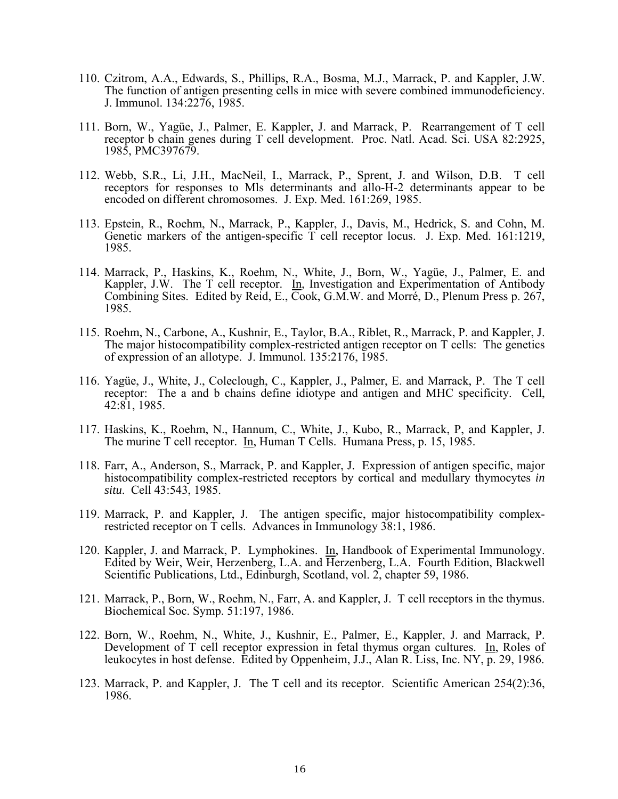- 110. Czitrom, A.A., Edwards, S., Phillips, R.A., Bosma, M.J., Marrack, P. and Kappler, J.W. The function of antigen presenting cells in mice with severe combined immunodeficiency. J. Immunol. 134:2276, 1985.
- 111. Born, W., Yagüe, J., Palmer, E. Kappler, J. and Marrack, P. Rearrangement of T cell receptor b chain genes during T cell development. Proc. Natl. Acad. Sci. USA 82:2925, 1985, PMC397679.
- 112. Webb, S.R., Li, J.H., MacNeil, I., Marrack, P., Sprent, J. and Wilson, D.B. T cell receptors for responses to Mls determinants and allo-H-2 determinants appear to be encoded on different chromosomes. J. Exp. Med. 161:269, 1985.
- 113. Epstein, R., Roehm, N., Marrack, P., Kappler, J., Davis, M., Hedrick, S. and Cohn, M. Genetic markers of the antigen-specific  $\overline{T}$  cell receptor locus. J. Exp. Med. 161:1219, 1985.
- 114. Marrack, P., Haskins, K., Roehm, N., White, J., Born, W., Yagüe, J., Palmer, E. and Kappler, J.W. The T cell receptor. In, Investigation and Experimentation of Antibody Combining Sites. Edited by Reid, E., Cook, G.M.W. and Morré, D., Plenum Press p. 267, 1985.
- 115. Roehm, N., Carbone, A., Kushnir, E., Taylor, B.A., Riblet, R., Marrack, P. and Kappler, J. The major histocompatibility complex-restricted antigen receptor on T cells: The genetics of expression of an allotype. J. Immunol. 135:2176, 1985.
- 116. Yagüe, J., White, J., Coleclough, C., Kappler, J., Palmer, E. and Marrack, P. The T cell receptor: The a and b chains define idiotype and antigen and MHC specificity. Cell, 42:81, 1985.
- 117. Haskins, K., Roehm, N., Hannum, C., White, J., Kubo, R., Marrack, P, and Kappler, J. The murine T cell receptor. In, Human T Cells. Humana Press, p. 15, 1985.
- 118. Farr, A., Anderson, S., Marrack, P. and Kappler, J. Expression of antigen specific, major histocompatibility complex-restricted receptors by cortical and medullary thymocytes *in situ*. Cell 43:543, 1985.
- 119. Marrack, P. and Kappler, J. The antigen specific, major histocompatibility complexrestricted receptor on T cells. Advances in Immunology 38:1, 1986.
- 120. Kappler, J. and Marrack, P. Lymphokines. In, Handbook of Experimental Immunology. Edited by Weir, Weir, Herzenberg, L.A. and Herzenberg, L.A. Fourth Edition, Blackwell Scientific Publications, Ltd., Edinburgh, Scotland, vol. 2, chapter 59, 1986.
- 121. Marrack, P., Born, W., Roehm, N., Farr, A. and Kappler, J. T cell receptors in the thymus. Biochemical Soc. Symp. 51:197, 1986.
- 122. Born, W., Roehm, N., White, J., Kushnir, E., Palmer, E., Kappler, J. and Marrack, P. Development of T cell receptor expression in fetal thymus organ cultures. In, Roles of leukocytes in host defense. Edited by Oppenheim, J.J., Alan R. Liss, Inc. NY, p. 29, 1986.
- 123. Marrack, P. and Kappler, J. The T cell and its receptor. Scientific American 254(2):36, 1986.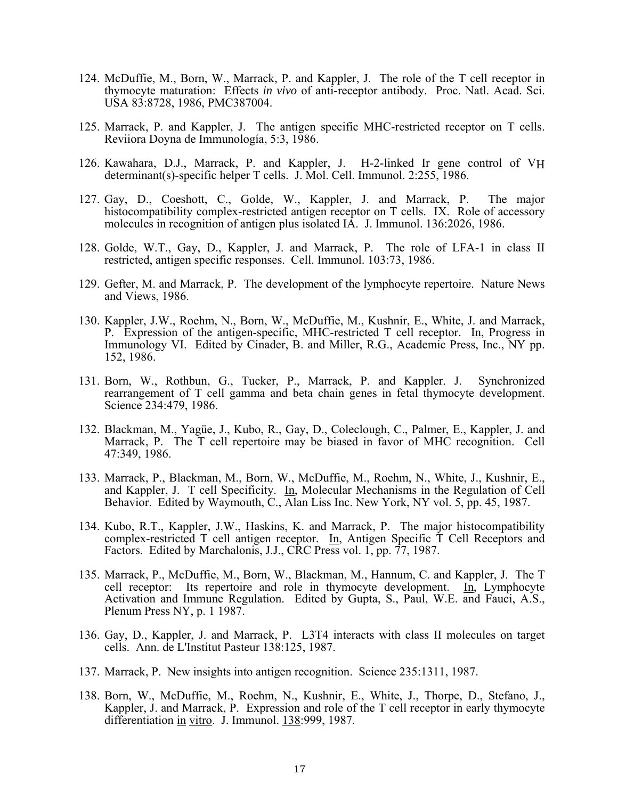- 124. McDuffie, M., Born, W., Marrack, P. and Kappler, J. The role of the T cell receptor in thymocyte maturation: Effects *in vivo* of anti-receptor antibody. Proc. Natl. Acad. Sci. USA 83:8728, 1986, PMC387004.
- 125. Marrack, P. and Kappler, J. The antigen specific MHC-restricted receptor on T cells. Reviiora Doyna de Immunología, 5:3, 1986.
- 126. Kawahara, D.J., Marrack, P. and Kappler, J. H-2-linked Ir gene control of VH determinant(s)-specific helper T cells. J. Mol. Cell. Immunol. 2:255, 1986.
- 127. Gay, D., Coeshott, C., Golde, W., Kappler, J. and Marrack, P. The major histocompatibility complex-restricted antigen receptor on T cells. IX. Role of accessory molecules in recognition of antigen plus isolated IA. J. Immunol. 136:2026, 1986.
- 128. Golde, W.T., Gay, D., Kappler, J. and Marrack, P. The role of LFA-1 in class II restricted, antigen specific responses. Cell. Immunol. 103:73, 1986.
- 129. Gefter, M. and Marrack, P. The development of the lymphocyte repertoire. Nature News and Views, 1986.
- 130. Kappler, J.W., Roehm, N., Born, W., McDuffie, M., Kushnir, E., White, J. and Marrack, P. Expression of the antigen-specific, MHC-restricted T cell receptor. In, Progress in Immunology VI. Edited by Cinader, B. and Miller, R.G., Academic Press, Inc., NY pp. 152, 1986.
- 131. Born, W., Rothbun, G., Tucker, P., Marrack, P. and Kappler. J. Synchronized rearrangement of T cell gamma and beta chain genes in fetal thymocyte development. Science 234:479, 1986.
- 132. Blackman, M., Yagüe, J., Kubo, R., Gay, D., Coleclough, C., Palmer, E., Kappler, J. and Marrack, P. The T cell repertoire may be biased in favor of MHC recognition. Cell 47:349, 1986.
- 133. Marrack, P., Blackman, M., Born, W., McDuffie, M., Roehm, N., White, J., Kushnir, E., and Kappler, J. T cell Specificity. In, Molecular Mechanisms in the Regulation of Cell Behavior. Edited by Waymouth, C., Alan Liss Inc. New York, NY vol. 5, pp. 45, 1987.
- 134. Kubo, R.T., Kappler, J.W., Haskins, K. and Marrack, P. The major histocompatibility complex-restricted T cell antigen receptor. In, Antigen Specific T Cell Receptors and Factors. Edited by Marchalonis, J.J., CRC Press vol. 1, pp. 77, 1987.
- 135. Marrack, P., McDuffie, M., Born, W., Blackman, M., Hannum, C. and Kappler, J. The T cell receptor: Its repertoire and role in thymocyte development. In, Lymphocyte Activation and Immune Regulation. Edited by Gupta, S., Paul, W.E. and Fauci, A.S., Plenum Press NY, p. 1 1987.
- 136. Gay, D., Kappler, J. and Marrack, P. L3T4 interacts with class II molecules on target cells. Ann. de L'Institut Pasteur 138:125, 1987.
- 137. Marrack, P. New insights into antigen recognition. Science 235:1311, 1987.
- 138. Born, W., McDuffie, M., Roehm, N., Kushnir, E., White, J., Thorpe, D., Stefano, J., Kappler, J. and Marrack, P. Expression and role of the T cell receptor in early thymocyte differentiation in vitro. J. Immunol. 138:999, 1987.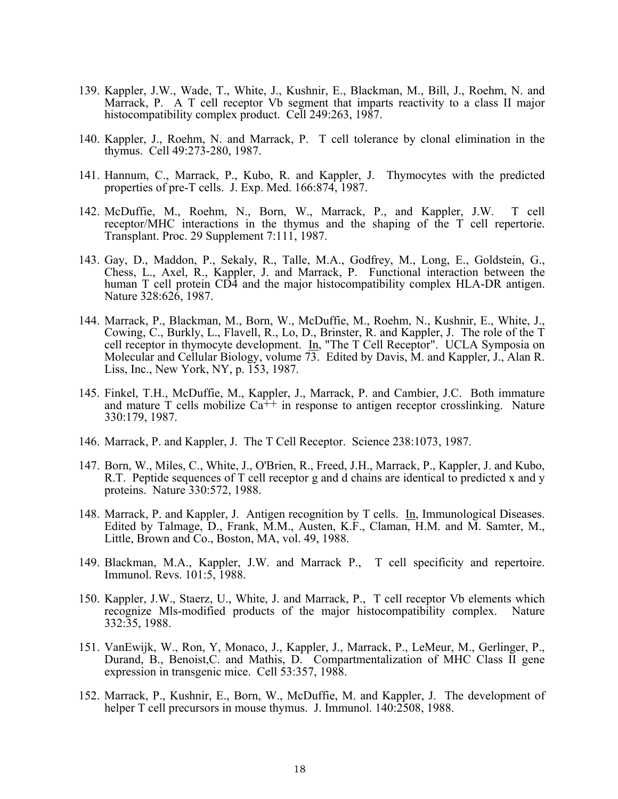- 139. Kappler, J.W., Wade, T., White, J., Kushnir, E., Blackman, M., Bill, J., Roehm, N. and Marrack, P. A T cell receptor Vb segment that imparts reactivity to a class II major histocompatibility complex product. Cell 249:263, 1987.
- 140. Kappler, J., Roehm, N. and Marrack, P. T cell tolerance by clonal elimination in the thymus. Cell 49:273-280, 1987.
- 141. Hannum, C., Marrack, P., Kubo, R. and Kappler, J. Thymocytes with the predicted properties of pre-T cells. J. Exp. Med. 166:874, 1987.
- 142. McDuffie, M., Roehm, N., Born, W., Marrack, P., and Kappler, J.W. T cell receptor/MHC interactions in the thymus and the shaping of the T cell repertorie. Transplant. Proc. 29 Supplement 7:111, 1987.
- 143. Gay, D., Maddon, P., Sekaly, R., Talle, M.A., Godfrey, M., Long, E., Goldstein, G., Chess, L., Axel, R., Kappler, J. and Marrack, P. Functional interaction between the human T cell protein CD4 and the major histocompatibility complex HLA-DR antigen. Nature 328:626, 1987.
- 144. Marrack, P., Blackman, M., Born, W., McDuffie, M., Roehm, N., Kushnir, E., White, J., Cowing, C., Burkly, L., Flavell, R., Lo, D., Brinster, R. and Kappler, J. The role of the T cell receptor in thymocyte development. In, "The T Cell Receptor". UCLA Symposia on Molecular and Cellular Biology, volume 73. Edited by Davis, M. and Kappler, J., Alan R. Liss, Inc., New York, NY, p. 153, 1987.
- 145. Finkel, T.H., McDuffie, M., Kappler, J., Marrack, P. and Cambier, J.C. Both immature and mature T cells mobilize  $Ca^{++}$  in response to antigen receptor crosslinking. Nature 330:179, 1987.
- 146. Marrack, P. and Kappler, J. The T Cell Receptor. Science 238:1073, 1987.
- 147. Born, W., Miles, C., White, J., O'Brien, R., Freed, J.H., Marrack, P., Kappler, J. and Kubo, R.T. Peptide sequences of T cell receptor g and d chains are identical to predicted x and y proteins. Nature 330:572, 1988.
- 148. Marrack, P. and Kappler, J. Antigen recognition by T cells. In, Immunological Diseases. Edited by Talmage, D., Frank, M.M., Austen, K.F., Claman, H.M. and M. Samter, M., Little, Brown and Co., Boston, MA, vol. 49, 1988.
- 149. Blackman, M.A., Kappler, J.W. and Marrack P., T cell specificity and repertoire. Immunol. Revs. 101:5, 1988.
- 150. Kappler, J.W., Staerz, U., White, J. and Marrack, P., T cell receptor Vb elements which recognize Mls-modified products of the major histocompatibility complex. Nature 332:35, 1988.
- 151. VanEwijk, W., Ron, Y, Monaco, J., Kappler, J., Marrack, P., LeMeur, M., Gerlinger, P., Durand, B., Benoist,C. and Mathis, D. Compartmentalization of MHC Class II gene expression in transgenic mice. Cell 53:357, 1988.
- 152. Marrack, P., Kushnir, E., Born, W., McDuffie, M. and Kappler, J. The development of helper T cell precursors in mouse thymus. J. Immunol. 140:2508, 1988.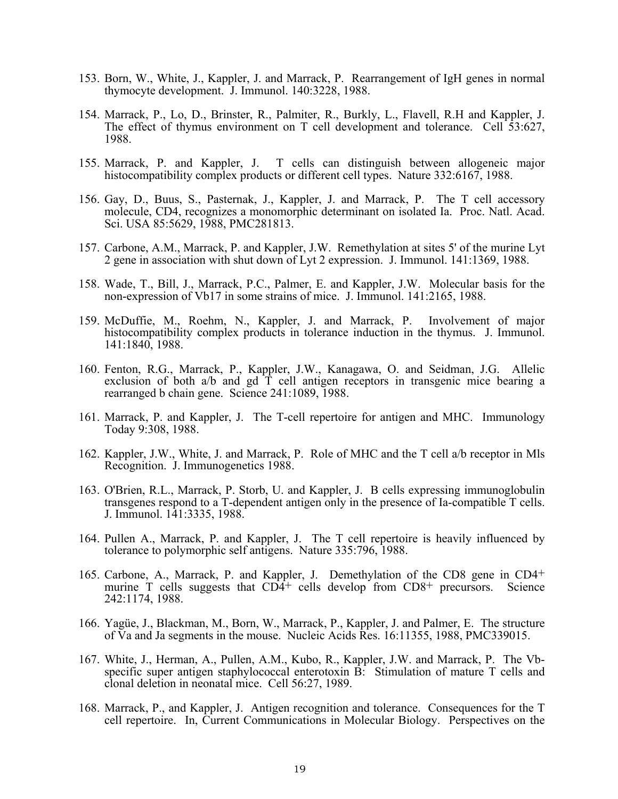- 153. Born, W., White, J., Kappler, J. and Marrack, P. Rearrangement of IgH genes in normal thymocyte development. J. Immunol. 140:3228, 1988.
- 154. Marrack, P., Lo, D., Brinster, R., Palmiter, R., Burkly, L., Flavell, R.H and Kappler, J. The effect of thymus environment on T cell development and tolerance. Cell 53:627, 1988.
- 155. Marrack, P. and Kappler, J. T cells can distinguish between allogeneic major histocompatibility complex products or different cell types. Nature 332:6167, 1988.
- 156. Gay, D., Buus, S., Pasternak, J., Kappler, J. and Marrack, P. The T cell accessory molecule, CD4, recognizes a monomorphic determinant on isolated Ia. Proc. Natl. Acad. Sci. USA 85:5629, 1988, PMC281813.
- 157. Carbone, A.M., Marrack, P. and Kappler, J.W. Remethylation at sites 5' of the murine Lyt 2 gene in association with shut down of Lyt 2 expression. J. Immunol. 141:1369, 1988.
- 158. Wade, T., Bill, J., Marrack, P.C., Palmer, E. and Kappler, J.W. Molecular basis for the non-expression of Vb17 in some strains of mice. J. Immunol. 141:2165, 1988.
- 159. McDuffie, M., Roehm, N., Kappler, J. and Marrack, P. Involvement of major histocompatibility complex products in tolerance induction in the thymus. J. Immunol. 141:1840, 1988.
- 160. Fenton, R.G., Marrack, P., Kappler, J.W., Kanagawa, O. and Seidman, J.G. Allelic exclusion of both a/b and gd T cell antigen receptors in transgenic mice bearing a rearranged b chain gene. Science 241:1089, 1988.
- 161. Marrack, P. and Kappler, J. The T-cell repertoire for antigen and MHC. Immunology Today 9:308, 1988.
- 162. Kappler, J.W., White, J. and Marrack, P. Role of MHC and the T cell a/b receptor in Mls Recognition. J. Immunogenetics 1988.
- 163. O'Brien, R.L., Marrack, P. Storb, U. and Kappler, J. B cells expressing immunoglobulin transgenes respond to a T-dependent antigen only in the presence of Ia-compatible T cells. J. Immunol. 141:3335, 1988.
- 164. Pullen A., Marrack, P. and Kappler, J. The T cell repertoire is heavily influenced by tolerance to polymorphic self antigens. Nature 335:796, 1988.
- 165. Carbone, A., Marrack, P. and Kappler, J. Demethylation of the CD8 gene in CD4+ murine T cells suggests that  $CD4^+$  cells develop from  $CD8^+$  precursors. Science 242:1174, 1988.
- 166. Yagüe, J., Blackman, M., Born, W., Marrack, P., Kappler, J. and Palmer, E. The structure of Va and Ja segments in the mouse. Nucleic Acids Res. 16:11355, 1988, PMC339015.
- 167. White, J., Herman, A., Pullen, A.M., Kubo, R., Kappler, J.W. and Marrack, P. The Vbspecific super antigen staphylococcal enterotoxin B: Stimulation of mature T cells and clonal deletion in neonatal mice. Cell 56:27, 1989.
- 168. Marrack, P., and Kappler, J. Antigen recognition and tolerance. Consequences for the T cell repertoire. In, Current Communications in Molecular Biology. Perspectives on the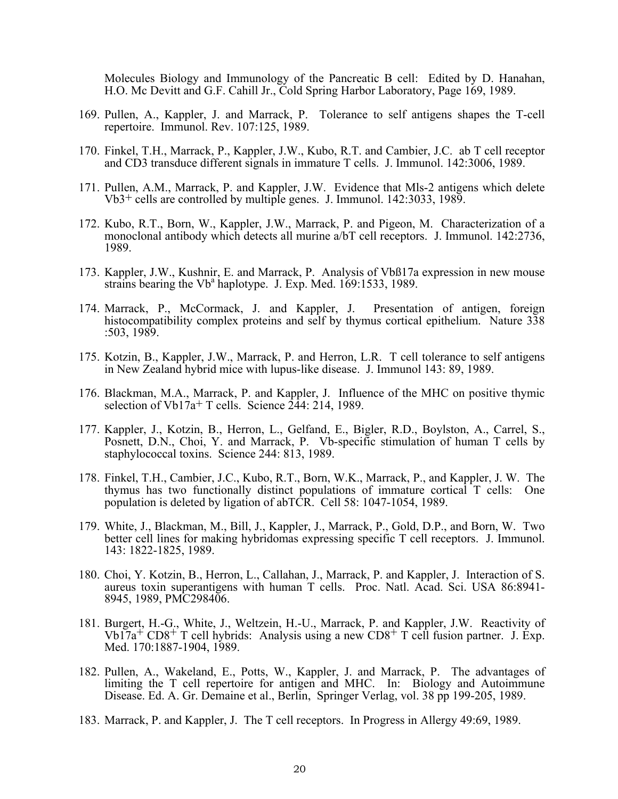Molecules Biology and Immunology of the Pancreatic B cell: Edited by D. Hanahan, H.O. Mc Devitt and G.F. Cahill Jr., Cold Spring Harbor Laboratory, Page 169, 1989.

- 169. Pullen, A., Kappler, J. and Marrack, P. Tolerance to self antigens shapes the T-cell repertoire. Immunol. Rev. 107:125, 1989.
- 170. Finkel, T.H., Marrack, P., Kappler, J.W., Kubo, R.T. and Cambier, J.C. ab T cell receptor and CD3 transduce different signals in immature T cells. J. Immunol. 142:3006, 1989.
- 171. Pullen, A.M., Marrack, P. and Kappler, J.W. Evidence that Mls-2 antigens which delete Vb3+ cells are controlled by multiple genes. J. Immunol. 142:3033, 1989.
- 172. Kubo, R.T., Born, W., Kappler, J.W., Marrack, P. and Pigeon, M. Characterization of a monoclonal antibody which detects all murine a/bT cell receptors. J. Immunol. 142:2736, 1989.
- 173. Kappler, J.W., Kushnir, E. and Marrack, P. Analysis of Vbß17a expression in new mouse strains bearing the  $Vb^a$  haplotype. J. Exp. Med. 169:1533, 1989.
- 174. Marrack, P., McCormack, J. and Kappler, J. Presentation of antigen, foreign histocompatibility complex proteins and self by thymus cortical epithelium. Nature 338 :503, 1989.
- 175. Kotzin, B., Kappler, J.W., Marrack, P. and Herron, L.R. T cell tolerance to self antigens in New Zealand hybrid mice with lupus-like disease. J. Immunol 143: 89, 1989.
- 176. Blackman, M.A., Marrack, P. and Kappler, J. Influence of the MHC on positive thymic selection of Vb17a<sup>+</sup> T cells. Science  $2\overline{4}4$ : 214, 1989.
- 177. Kappler, J., Kotzin, B., Herron, L., Gelfand, E., Bigler, R.D., Boylston, A., Carrel, S., Posnett, D.N., Choi, Y. and Marrack, P. Vb-specific stimulation of human T cells by staphylococcal toxins. Science 244: 813, 1989.
- 178. Finkel, T.H., Cambier, J.C., Kubo, R.T., Born, W.K., Marrack, P., and Kappler, J. W. The thymus has two functionally distinct populations of immature cortical T cells: One population is deleted by ligation of abTCR. Cell 58: 1047-1054, 1989.
- 179. White, J., Blackman, M., Bill, J., Kappler, J., Marrack, P., Gold, D.P., and Born, W. Two better cell lines for making hybridomas expressing specific T cell receptors. J. Immunol. 143: 1822-1825, 1989.
- 180. Choi, Y. Kotzin, B., Herron, L., Callahan, J., Marrack, P. and Kappler, J. Interaction of S. aureus toxin superantigens with human T cells. Proc. Natl. Acad. Sci. USA 86:8941- 8945, 1989, PMC298406.
- 181. Burgert, H.-G., White, J., Weltzein, H.-U., Marrack, P. and Kappler, J.W. Reactivity of  $Vb17a^+$  CD8<sup>+</sup> T cell hybrids: Analysis using a new CD8<sup>+</sup> T cell fusion partner. J. Exp. Med. 170:1887-1904, 1989.
- 182. Pullen, A., Wakeland, E., Potts, W., Kappler, J. and Marrack, P. The advantages of limiting the T cell repertoire for antigen and MHC. In: Biology and Autoimmune Disease. Ed. A. Gr. Demaine et al., Berlin, Springer Verlag, vol. 38 pp 199-205, 1989.
- 183. Marrack, P. and Kappler, J. The T cell receptors. In Progress in Allergy 49:69, 1989.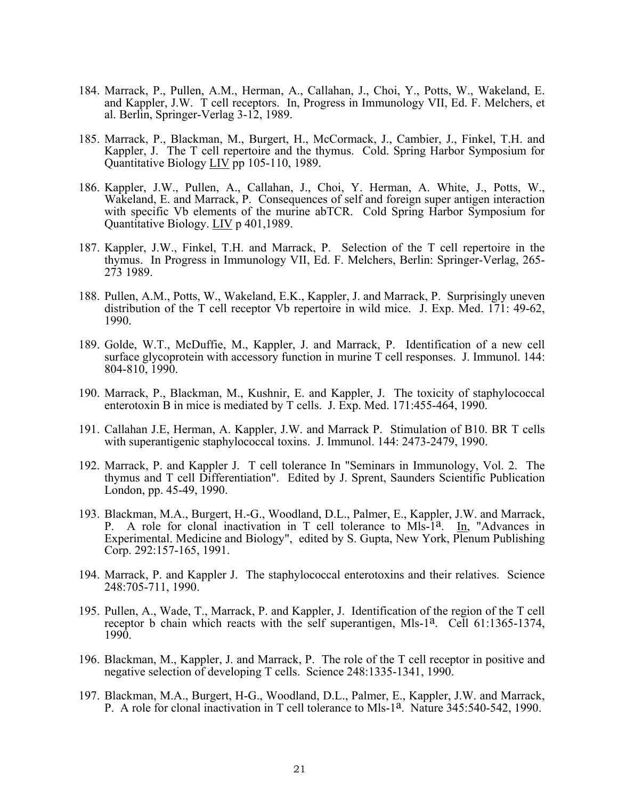- 184. Marrack, P., Pullen, A.M., Herman, A., Callahan, J., Choi, Y., Potts, W., Wakeland, E. and Kappler, J.W. T cell receptors. In, Progress in Immunology VII, Ed. F. Melchers, et al. Berlin, Springer-Verlag 3-12, 1989.
- 185. Marrack, P., Blackman, M., Burgert, H., McCormack, J., Cambier, J., Finkel, T.H. and Kappler, J. The T cell repertoire and the thymus. Cold. Spring Harbor Symposium for Quantitative Biology LIV pp 105-110, 1989.
- 186. Kappler, J.W., Pullen, A., Callahan, J., Choi, Y. Herman, A. White, J., Potts, W., Wakeland, E. and Marrack, P. Consequences of self and foreign super antigen interaction with specific Vb elements of the murine abTCR. Cold Spring Harbor Symposium for Quantitative Biology. LIV p 401,1989.
- 187. Kappler, J.W., Finkel, T.H. and Marrack, P. Selection of the T cell repertoire in the thymus. In Progress in Immunology VII, Ed. F. Melchers, Berlin: Springer-Verlag, 265- 273 1989.
- 188. Pullen, A.M., Potts, W., Wakeland, E.K., Kappler, J. and Marrack, P. Surprisingly uneven distribution of the T cell receptor Vb repertoire in wild mice. J. Exp. Med. 171: 49-62, 1990.
- 189. Golde, W.T., McDuffie, M., Kappler, J. and Marrack, P. Identification of a new cell surface glycoprotein with accessory function in murine T cell responses. J. Immunol. 144: 804-810, 1990.
- 190. Marrack, P., Blackman, M., Kushnir, E. and Kappler, J. The toxicity of staphylococcal enterotoxin B in mice is mediated by T cells. J. Exp. Med. 171:455-464, 1990.
- 191. Callahan J.E, Herman, A. Kappler, J.W. and Marrack P. Stimulation of B10. BR T cells with superantigenic staphylococcal toxins. J. Immunol. 144: 2473-2479, 1990.
- 192. Marrack, P. and Kappler J. T cell tolerance In "Seminars in Immunology, Vol. 2. The thymus and T cell Differentiation". Edited by J. Sprent, Saunders Scientific Publication London, pp. 45-49, 1990.
- 193. Blackman, M.A., Burgert, H.-G., Woodland, D.L., Palmer, E., Kappler, J.W. and Marrack, P. A role for clonal inactivation in T cell tolerance to Mls- $1a$ . In, "Advances in Experimental. Medicine and Biology", edited by S. Gupta, New York, Plenum Publishing Corp. 292:157-165, 1991.
- 194. Marrack, P. and Kappler J. The staphylococcal enterotoxins and their relatives. Science 248:705-711, 1990.
- 195. Pullen, A., Wade, T., Marrack, P. and Kappler, J. Identification of the region of the T cell receptor b chain which reacts with the self superantigen, Mls-1<sup>a</sup>. Cell 61:1365-1374, 1990.
- 196. Blackman, M., Kappler, J. and Marrack, P. The role of the T cell receptor in positive and negative selection of developing T cells. Science 248:1335-1341, 1990.
- 197. Blackman, M.A., Burgert, H-G., Woodland, D.L., Palmer, E., Kappler, J.W. and Marrack, P. A role for clonal inactivation in T cell tolerance to Mls-1<sup>a</sup>. Nature 345:540-542, 1990.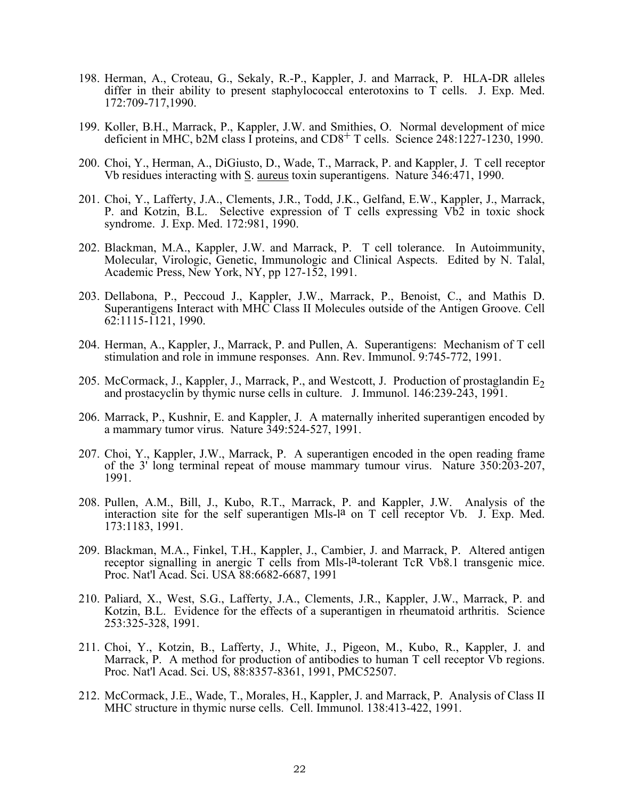- 198. Herman, A., Croteau, G., Sekaly, R.-P., Kappler, J. and Marrack, P. HLA-DR alleles differ in their ability to present staphylococcal enterotoxins to T cells. J. Exp. Med. 172:709-717,1990.
- 199. Koller, B.H., Marrack, P., Kappler, J.W. and Smithies, O. Normal development of mice deficient in MHC, b2M class I proteins, and CD8<sup>+</sup> T cells. Science 248:1227-1230, 1990.
- 200. Choi, Y., Herman, A., DiGiusto, D., Wade, T., Marrack, P. and Kappler, J. T cell receptor Vb residues interacting with S. aureus toxin superantigens. Nature 346:471, 1990.
- 201. Choi, Y., Lafferty, J.A., Clements, J.R., Todd, J.K., Gelfand, E.W., Kappler, J., Marrack, P. and Kotzin, B.L. Selective expression of T cells expressing Vb2 in toxic shock syndrome. J. Exp. Med. 172:981, 1990.
- 202. Blackman, M.A., Kappler, J.W. and Marrack, P. T cell tolerance. In Autoimmunity, Molecular, Virologic, Genetic, Immunologic and Clinical Aspects. Edited by N. Talal, Academic Press, New York, NY, pp 127-152, 1991.
- 203. Dellabona, P., Peccoud J., Kappler, J.W., Marrack, P., Benoist, C., and Mathis D. Superantigens Interact with MHC Class II Molecules outside of the Antigen Groove. Cell 62:1115-1121, 1990.
- 204. Herman, A., Kappler, J., Marrack, P. and Pullen, A. Superantigens: Mechanism of T cell stimulation and role in immune responses. Ann. Rev. Immunol. 9:745-772, 1991.
- 205. McCormack, J., Kappler, J., Marrack, P., and Westcott, J. Production of prostaglandin  $E<sub>2</sub>$ and prostacyclin by thymic nurse cells in culture. J. Immunol. 146:239-243, 1991.
- 206. Marrack, P., Kushnir, E. and Kappler, J. A maternally inherited superantigen encoded by a mammary tumor virus. Nature 349:524-527, 1991.
- 207. Choi, Y., Kappler, J.W., Marrack, P. A superantigen encoded in the open reading frame of the 3' long terminal repeat of mouse mammary tumour virus. Nature 350:203-207, 1991.
- 208. Pullen, A.M., Bill, J., Kubo, R.T., Marrack, P. and Kappler, J.W. Analysis of the interaction site for the self superantigen Mls-l<sup>a</sup> on T cell receptor Vb. J. Exp. Med. 173:1183, 1991.
- 209. Blackman, M.A., Finkel, T.H., Kappler, J., Cambier, J. and Marrack, P. Altered antigen receptor signalling in anergic T cells from Mls-l<sup>a</sup>-tolerant TcR Vb8.1 transgenic mice. Proc. Nat'l Acad. Sci. USA 88:6682-6687, 1991
- 210. Paliard, X., West, S.G., Lafferty, J.A., Clements, J.R., Kappler, J.W., Marrack, P. and Kotzin, B.L. Evidence for the effects of a superantigen in rheumatoid arthritis. Science 253:325-328, 1991.
- 211. Choi, Y., Kotzin, B., Lafferty, J., White, J., Pigeon, M., Kubo, R., Kappler, J. and Marrack, P. A method for production of antibodies to human T cell receptor Vb regions. Proc. Nat'l Acad. Sci. US, 88:8357-8361, 1991, PMC52507.
- 212. McCormack, J.E., Wade, T., Morales, H., Kappler, J. and Marrack, P. Analysis of Class II MHC structure in thymic nurse cells. Cell. Immunol. 138:413-422, 1991.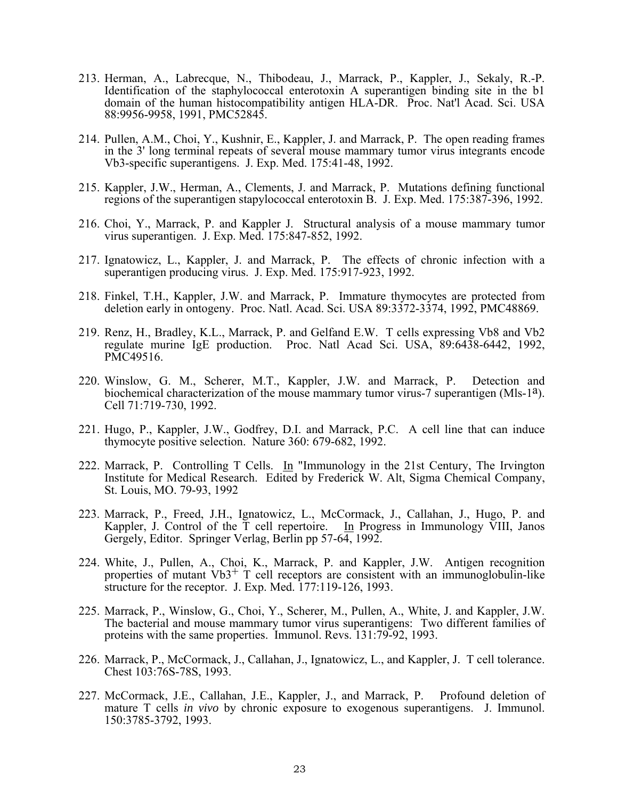- 213. Herman, A., Labrecque, N., Thibodeau, J., Marrack, P., Kappler, J., Sekaly, R.-P. Identification of the staphylococcal enterotoxin A superantigen binding site in the b1 domain of the human histocompatibility antigen HLA-DR. Proc. Nat'l Acad. Sci. USA 88:9956-9958, 1991, PMC52845.
- 214. Pullen, A.M., Choi, Y., Kushnir, E., Kappler, J. and Marrack, P. The open reading frames in the 3' long terminal repeats of several mouse mammary tumor virus integrants encode Vb3-specific superantigens. J. Exp. Med. 175:41-48, 1992.
- 215. Kappler, J.W., Herman, A., Clements, J. and Marrack, P. Mutations defining functional regions of the superantigen stapylococcal enterotoxin B. J. Exp. Med. 175:387-396, 1992.
- 216. Choi, Y., Marrack, P. and Kappler J. Structural analysis of a mouse mammary tumor virus superantigen. J. Exp. Med. 175:847-852, 1992.
- 217. Ignatowicz, L., Kappler, J. and Marrack, P. The effects of chronic infection with a superantigen producing virus. J. Exp. Med. 175:917-923, 1992.
- 218. Finkel, T.H., Kappler, J.W. and Marrack, P. Immature thymocytes are protected from deletion early in ontogeny. Proc. Natl. Acad. Sci. USA 89:3372-3374, 1992, PMC48869.
- 219. Renz, H., Bradley, K.L., Marrack, P. and Gelfand E.W. T cells expressing Vb8 and Vb2 regulate murine IgE production. Proc. Natl Acad Sci. USA, 89:6438-6442, 1992, PMC49516.
- 220. Winslow, G. M., Scherer, M.T., Kappler, J.W. and Marrack, P. Detection and biochemical characterization of the mouse mammary tumor virus-7 superantigen (Mls-1<sup>a</sup>). Cell 71:719-730, 1992.
- 221. Hugo, P., Kappler, J.W., Godfrey, D.I. and Marrack, P.C. A cell line that can induce thymocyte positive selection. Nature 360: 679-682, 1992.
- 222. Marrack, P. Controlling T Cells. In "Immunology in the 21st Century, The Irvington Institute for Medical Research. Edited by Frederick W. Alt, Sigma Chemical Company, St. Louis, MO. 79-93, 1992
- 223. Marrack, P., Freed, J.H., Ignatowicz, L., McCormack, J., Callahan, J., Hugo, P. and Kappler, J. Control of the  $\overline{T}$  cell repertoire. In Progress in Immunology VIII, Janos Gergely, Editor. Springer Verlag, Berlin pp 57-64, 1992.
- 224. White, J., Pullen, A., Choi, K., Marrack, P. and Kappler, J.W. Antigen recognition properties of mutant  $Vb3^+$  T cell receptors are consistent with an immunoglobulin-like structure for the receptor. J. Exp. Med. 177:119-126, 1993.
- 225. Marrack, P., Winslow, G., Choi, Y., Scherer, M., Pullen, A., White, J. and Kappler, J.W. The bacterial and mouse mammary tumor virus superantigens: Two different families of proteins with the same properties. Immunol. Revs. 131:79-92, 1993.
- 226. Marrack, P., McCormack, J., Callahan, J., Ignatowicz, L., and Kappler, J. T cell tolerance. Chest 103:76S-78S, 1993.
- 227. McCormack, J.E., Callahan, J.E., Kappler, J., and Marrack, P. Profound deletion of mature T cells *in vivo* by chronic exposure to exogenous superantigens. J. Immunol. 150:3785-3792, 1993.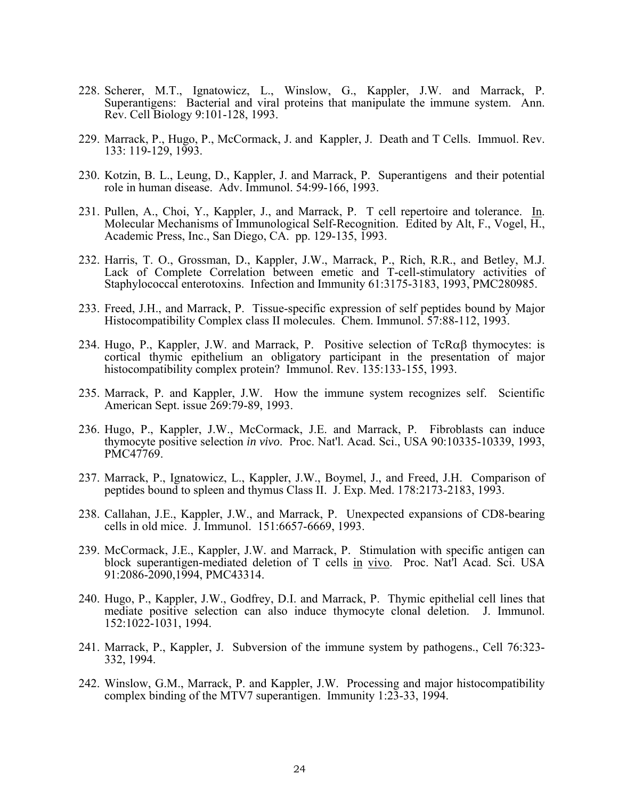- 228. Scherer, M.T., Ignatowicz, L., Winslow, G., Kappler, J.W. and Marrack, P. Superantigens: Bacterial and viral proteins that manipulate the immune system. Ann. Rev. Cell Biology 9:101-128, 1993.
- 229. Marrack, P., Hugo, P., McCormack, J. and Kappler, J. Death and T Cells. Immuol. Rev. 133: 119-129, 1993.
- 230. Kotzin, B. L., Leung, D., Kappler, J. and Marrack, P. Superantigens and their potential role in human disease. Adv. Immunol. 54:99-166, 1993.
- 231. Pullen, A., Choi, Y., Kappler, J., and Marrack, P. T cell repertoire and tolerance. In. Molecular Mechanisms of Immunological Self-Recognition. Edited by Alt, F., Vogel, H., Academic Press, Inc., San Diego, CA. pp. 129-135, 1993.
- 232. Harris, T. O., Grossman, D., Kappler, J.W., Marrack, P., Rich, R.R., and Betley, M.J. Lack of Complete Correlation between emetic and T-cell-stimulatory activities of Staphylococcal enterotoxins. Infection and Immunity 61:3175-3183, 1993, PMC280985.
- 233. Freed, J.H., and Marrack, P. Tissue-specific expression of self peptides bound by Major Histocompatibility Complex class II molecules. Chem. Immunol. 57:88-112, 1993.
- 234. Hugo, P., Kappler, J.W. and Marrack, P. Positive selection of  $TcR\alpha\beta$  thymocytes: is cortical thymic epithelium an obligatory participant in the presentation of major histocompatibility complex protein? Immunol. Rev. 135:133-155, 1993.
- 235. Marrack, P. and Kappler, J.W. How the immune system recognizes self. Scientific American Sept. issue 269:79-89, 1993.
- 236. Hugo, P., Kappler, J.W., McCormack, J.E. and Marrack, P. Fibroblasts can induce thymocyte positive selection *in vivo*. Proc. Nat'l. Acad. Sci., USA 90:10335-10339, 1993, PMC47769.
- 237. Marrack, P., Ignatowicz, L., Kappler, J.W., Boymel, J., and Freed, J.H. Comparison of peptides bound to spleen and thymus Class II. J. Exp. Med. 178:2173-2183, 1993.
- 238. Callahan, J.E., Kappler, J.W., and Marrack, P. Unexpected expansions of CD8-bearing cells in old mice. J. Immunol. 151:6657-6669, 1993.
- 239. McCormack, J.E., Kappler, J.W. and Marrack, P. Stimulation with specific antigen can block superantigen-mediated deletion of T cells in vivo. Proc. Nat'l Acad. Sci. USA 91:2086-2090,1994, PMC43314.
- 240. Hugo, P., Kappler, J.W., Godfrey, D.I. and Marrack, P. Thymic epithelial cell lines that mediate positive selection can also induce thymocyte clonal deletion. J. Immunol. 152:1022-1031, 1994.
- 241. Marrack, P., Kappler, J. Subversion of the immune system by pathogens., Cell 76:323- 332, 1994.
- 242. Winslow, G.M., Marrack, P. and Kappler, J.W. Processing and major histocompatibility complex binding of the MTV7 superantigen. Immunity 1:23-33, 1994.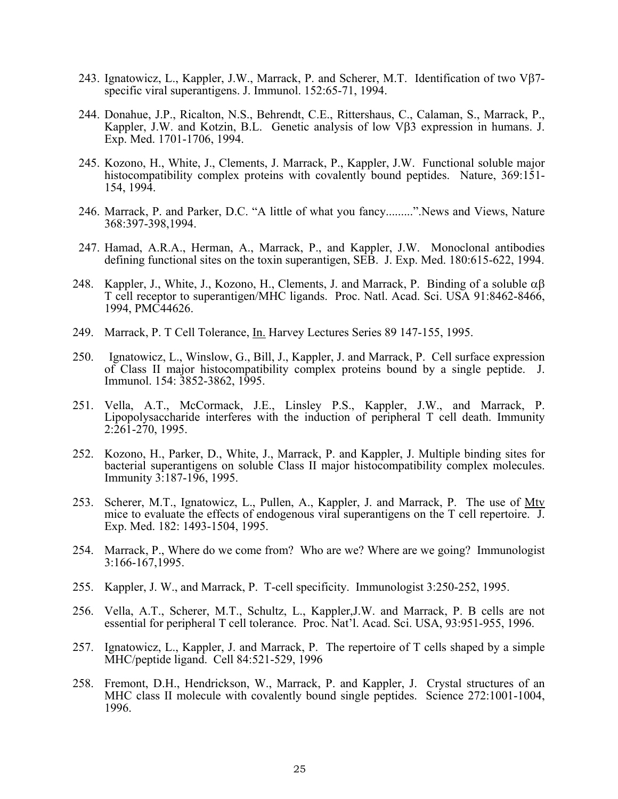- 243. Ignatowicz, L., Kappler, J.W., Marrack, P. and Scherer, M.T. Identification of two Vβ7 specific viral superantigens. J. Immunol. 152:65-71, 1994.
- 244. Donahue, J.P., Ricalton, N.S., Behrendt, C.E., Rittershaus, C., Calaman, S., Marrack, P., Kappler, J.W. and Kotzin, B.L. Genetic analysis of low Vβ3 expression in humans. J. Exp. Med. 1701-1706, 1994.
- 245. Kozono, H., White, J., Clements, J. Marrack, P., Kappler, J.W. Functional soluble major histocompatibility complex proteins with covalently bound peptides. Nature,  $369:151$ -154, 1994.
- 246. Marrack, P. and Parker, D.C. "A little of what you fancy.........".News and Views, Nature 368:397-398,1994.
- 247. Hamad, A.R.A., Herman, A., Marrack, P., and Kappler, J.W. Monoclonal antibodies defining functional sites on the toxin superantigen, SEB. J. Exp. Med. 180:615-622, 1994.
- 248. Kappler, J., White, J., Kozono, H., Clements, J. and Marrack, P. Binding of a soluble  $\alpha\beta$ T cell receptor to superantigen/MHC ligands. Proc. Natl. Acad. Sci. USA 91:8462-8466, 1994, PMC44626.
- 249. Marrack, P. T Cell Tolerance, *In.* Harvey Lectures Series 89 147-155, 1995.
- 250. Ignatowicz, L., Winslow, G., Bill, J., Kappler, J. and Marrack, P. Cell surface expression of Class II major histocompatibility complex proteins bound by a single peptide. J. Immunol. 154: 3852-3862, 1995.
- 251. Vella, A.T., McCormack, J.E., Linsley P.S., Kappler, J.W., and Marrack, P. Lipopolysaccharide interferes with the induction of peripheral T cell death. Immunity 2:261-270, 1995.
- 252. Kozono, H., Parker, D., White, J., Marrack, P. and Kappler, J. Multiple binding sites for bacterial superantigens on soluble Class II major histocompatibility complex molecules. Immunity 3:187-196, 1995.
- 253. Scherer, M.T., Ignatowicz, L., Pullen, A., Kappler, J. and Marrack, P. The use of Mtv mice to evaluate the effects of endogenous viral superantigens on the T cell repertoire. J. Exp. Med. 182: 1493-1504, 1995.
- 254. Marrack, P., Where do we come from? Who are we? Where are we going? Immunologist 3:166-167,1995.
- 255. Kappler, J. W., and Marrack, P. T-cell specificity. Immunologist 3:250-252, 1995.
- 256. Vella, A.T., Scherer, M.T., Schultz, L., Kappler,J.W. and Marrack, P. B cells are not essential for peripheral T cell tolerance. Proc. Nat'l. Acad. Sci. USA, 93:951-955, 1996.
- 257. Ignatowicz, L., Kappler, J. and Marrack, P. The repertoire of T cells shaped by a simple MHC/peptide ligand. Cell 84:521-529, 1996
- 258. Fremont, D.H., Hendrickson, W., Marrack, P. and Kappler, J. Crystal structures of an MHC class II molecule with covalently bound single peptides. Science 272:1001-1004, 1996.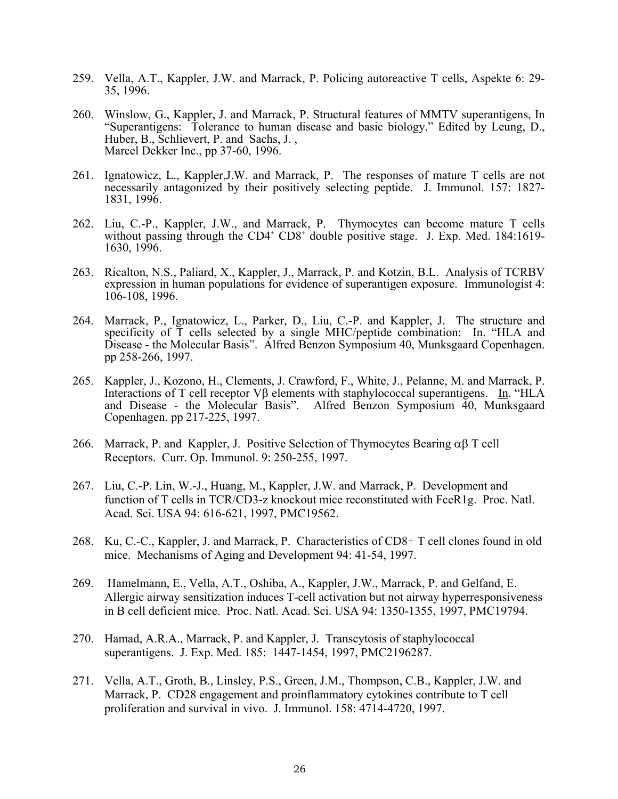- 259. Vella, A.T., Kappler, J.W. and Marrack, P. Policing autoreactive T cells, Aspekte 6: 29- 35, 1996.
- 260. Winslow, G., Kappler, J. and Marrack, P. Structural features of MMTV superantigens, In "Superantigens: Tolerance to human disease and basic biology," Edited by Leung, D., Huber, B., Schlievert, P. and Sachs, J. , Marcel Dekker Inc., pp 37-60, 1996.
- 261. Ignatowicz, L., Kappler,J.W. and Marrack, P. The responses of mature T cells are not necessarily antagonized by their positively selecting peptide. J. Immunol. 157: 1827- 1831, 1996.
- 262. Liu, C.-P., Kappler, J.W., and Marrack, P. Thymocytes can become mature T cells without passing through the CD4<sup>+</sup> CD8<sup>+</sup> double positive stage. J. Exp. Med. 184:1619-1630, 1996.
- 263. Ricalton, N.S., Paliard, X., Kappler, J., Marrack, P. and Kotzin, B.L. Analysis of TCRBV expression in human populations for evidence of superantigen exposure. Immunologist 4: 106-108, 1996.
- 264. Marrack, P., Ignatowicz, L., Parker, D., Liu, C.-P. and Kappler, J. The structure and specificity of T cells selected by a single MHC/peptide combination: In. "HLA and Disease - the Molecular Basis". Alfred Benzon Symposium 40, Munksgaard Copenhagen. pp 258-266, 1997.
- 265. Kappler, J., Kozono, H., Clements, J. Crawford, F., White, J., Pelanne, M. and Marrack, P. Interactions of T cell receptor Vβ elements with staphylococcal superantigens. In. "HLA and Disease - the Molecular Basis". Alfred Benzon Symposium 40, Munksgaard Copenhagen. pp 217-225, 1997.
- 266. Marrack, P. and Kappler, J. Positive Selection of Thymocytes Bearing  $\alpha\beta$  T cell Receptors. Curr. Op. Immunol. 9: 250-255, 1997.
- 267. Liu, C.-P. Lin, W.-J., Huang, M., Kappler, J.W. and Marrack, P. Development and function of T cells in TCR/CD3-z knockout mice reconstituted with FceR1g. Proc. Natl. Acad. Sci. USA 94: 616-621, 1997, PMC19562.
- 268. Ku, C.-C., Kappler, J. and Marrack, P. Characteristics of CD8+ T cell clones found in old mice. Mechanisms of Aging and Development 94: 41-54, 1997.
- 269. Hamelmann, E., Vella, A.T., Oshiba, A., Kappler, J.W., Marrack, P. and Gelfand, E. Allergic airway sensitization induces T-cell activation but not airway hyperresponsiveness in B cell deficient mice. Proc. Natl. Acad. Sci. USA 94: 1350-1355, 1997, PMC19794.
- 270. Hamad, A.R.A., Marrack, P. and Kappler, J. Transcytosis of staphylococcal superantigens. J. Exp. Med. 185: 1447-1454, 1997, PMC2196287.
- 271. Vella, A.T., Groth, B., Linsley, P.S., Green, J.M., Thompson, C.B., Kappler, J.W. and Marrack, P. CD28 engagement and proinflammatory cytokines contribute to T cell proliferation and survival in vivo. J. Immunol. 158: 4714-4720, 1997.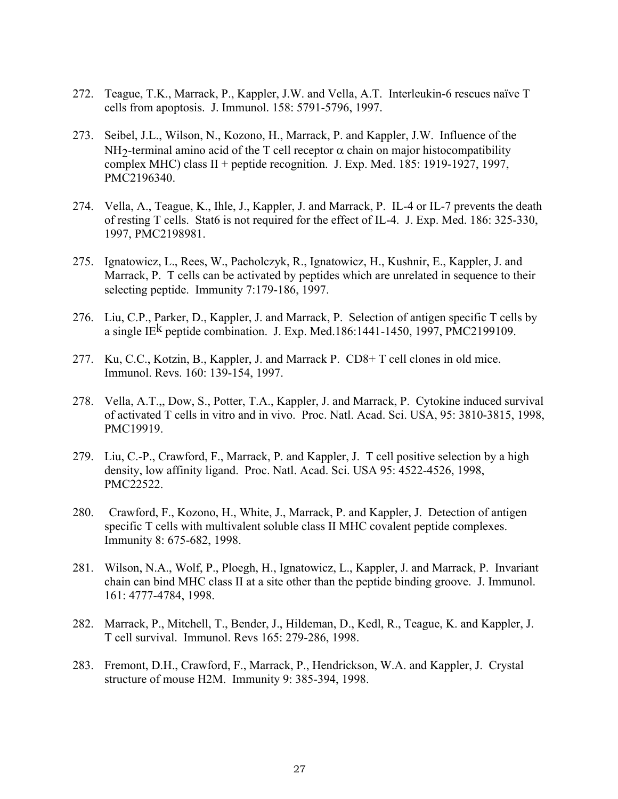- 272. Teague, T.K., Marrack, P., Kappler, J.W. and Vella, A.T. Interleukin-6 rescues naïve T cells from apoptosis. J. Immunol. 158: 5791-5796, 1997.
- 273. Seibel, J.L., Wilson, N., Kozono, H., Marrack, P. and Kappler, J.W. Influence of the NH<sub>2</sub>-terminal amino acid of the T cell receptor  $\alpha$  chain on major histocompatibility complex MHC) class II + peptide recognition. J. Exp. Med. 185: 1919-1927, 1997, PMC2196340.
- 274. Vella, A., Teague, K., Ihle, J., Kappler, J. and Marrack, P. IL-4 or IL-7 prevents the death of resting T cells. Stat6 is not required for the effect of IL-4. J. Exp. Med. 186: 325-330, 1997, PMC2198981.
- 275. Ignatowicz, L., Rees, W., Pacholczyk, R., Ignatowicz, H., Kushnir, E., Kappler, J. and Marrack, P. T cells can be activated by peptides which are unrelated in sequence to their selecting peptide. Immunity 7:179-186, 1997.
- 276. Liu, C.P., Parker, D., Kappler, J. and Marrack, P. Selection of antigen specific T cells by a single IE<sup>k</sup> peptide combination. J. Exp. Med.186:1441-1450, 1997, PMC2199109.
- 277. Ku, C.C., Kotzin, B., Kappler, J. and Marrack P. CD8+ T cell clones in old mice. Immunol. Revs. 160: 139-154, 1997.
- 278. Vella, A.T.,, Dow, S., Potter, T.A., Kappler, J. and Marrack, P. Cytokine induced survival of activated T cells in vitro and in vivo. Proc. Natl. Acad. Sci. USA, 95: 3810-3815, 1998, PMC19919.
- 279. Liu, C.-P., Crawford, F., Marrack, P. and Kappler, J. T cell positive selection by a high density, low affinity ligand. Proc. Natl. Acad. Sci. USA 95: 4522-4526, 1998, PMC22522.
- 280. Crawford, F., Kozono, H., White, J., Marrack, P. and Kappler, J. Detection of antigen specific T cells with multivalent soluble class II MHC covalent peptide complexes. Immunity 8: 675-682, 1998.
- 281. Wilson, N.A., Wolf, P., Ploegh, H., Ignatowicz, L., Kappler, J. and Marrack, P. Invariant chain can bind MHC class II at a site other than the peptide binding groove. J. Immunol. 161: 4777-4784, 1998.
- 282. Marrack, P., Mitchell, T., Bender, J., Hildeman, D., Kedl, R., Teague, K. and Kappler, J. T cell survival. Immunol. Revs 165: 279-286, 1998.
- 283. Fremont, D.H., Crawford, F., Marrack, P., Hendrickson, W.A. and Kappler, J. Crystal structure of mouse H2M. Immunity 9: 385-394, 1998.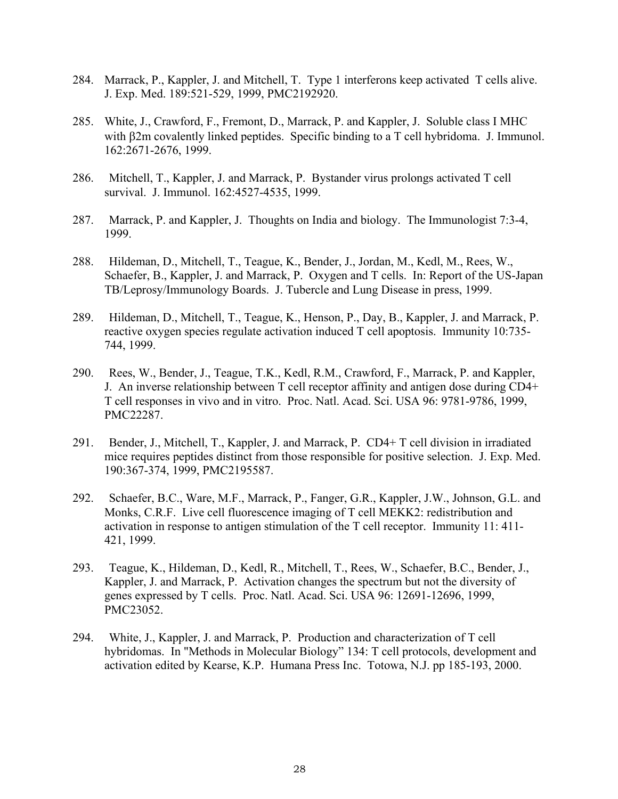- 284. Marrack, P., Kappler, J. and Mitchell, T. Type 1 interferons keep activated T cells alive. J. Exp. Med. 189:521-529, 1999, PMC2192920.
- 285. White, J., Crawford, F., Fremont, D., Marrack, P. and Kappler, J. Soluble class I MHC with β2m covalently linked peptides. Specific binding to a T cell hybridoma. J. Immunol. 162:2671-2676, 1999.
- 286. Mitchell, T., Kappler, J. and Marrack, P. Bystander virus prolongs activated T cell survival. J. Immunol. 162:4527-4535, 1999.
- 287. Marrack, P. and Kappler, J. Thoughts on India and biology. The Immunologist 7:3-4, 1999.
- 288. Hildeman, D., Mitchell, T., Teague, K., Bender, J., Jordan, M., Kedl, M., Rees, W., Schaefer, B., Kappler, J. and Marrack, P. Oxygen and T cells. In: Report of the US-Japan TB/Leprosy/Immunology Boards. J. Tubercle and Lung Disease in press, 1999.
- 289. Hildeman, D., Mitchell, T., Teague, K., Henson, P., Day, B., Kappler, J. and Marrack, P. reactive oxygen species regulate activation induced T cell apoptosis. Immunity 10:735- 744, 1999.
- 290. Rees, W., Bender, J., Teague, T.K., Kedl, R.M., Crawford, F., Marrack, P. and Kappler, J. An inverse relationship between T cell receptor affinity and antigen dose during CD4+ T cell responses in vivo and in vitro. Proc. Natl. Acad. Sci. USA 96: 9781-9786, 1999, PMC22287.
- 291. Bender, J., Mitchell, T., Kappler, J. and Marrack, P. CD4+ T cell division in irradiated mice requires peptides distinct from those responsible for positive selection. J. Exp. Med. 190:367-374, 1999, PMC2195587.
- 292. Schaefer, B.C., Ware, M.F., Marrack, P., Fanger, G.R., Kappler, J.W., Johnson, G.L. and Monks, C.R.F. Live cell fluorescence imaging of T cell MEKK2: redistribution and activation in response to antigen stimulation of the T cell receptor. Immunity 11: 411- 421, 1999.
- 293. Teague, K., Hildeman, D., Kedl, R., Mitchell, T., Rees, W., Schaefer, B.C., Bender, J., Kappler, J. and Marrack, P. Activation changes the spectrum but not the diversity of genes expressed by T cells. Proc. Natl. Acad. Sci. USA 96: 12691-12696, 1999, PMC23052.
- 294. White, J., Kappler, J. and Marrack, P. Production and characterization of T cell hybridomas. In "Methods in Molecular Biology" 134: T cell protocols, development and activation edited by Kearse, K.P. Humana Press Inc. Totowa, N.J. pp 185-193, 2000.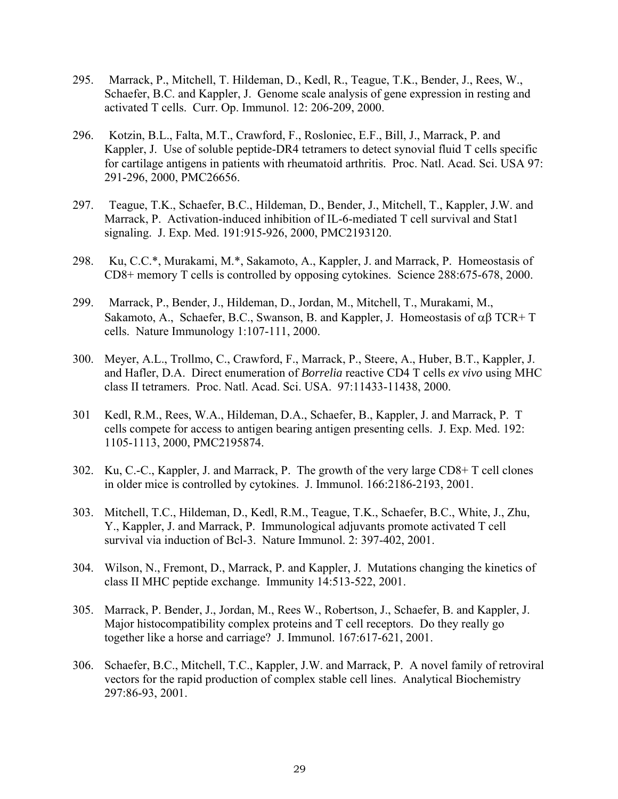- 295. Marrack, P., Mitchell, T. Hildeman, D., Kedl, R., Teague, T.K., Bender, J., Rees, W., Schaefer, B.C. and Kappler, J. Genome scale analysis of gene expression in resting and activated T cells. Curr. Op. Immunol. 12: 206-209, 2000.
- 296. Kotzin, B.L., Falta, M.T., Crawford, F., Rosloniec, E.F., Bill, J., Marrack, P. and Kappler, J. Use of soluble peptide-DR4 tetramers to detect synovial fluid T cells specific for cartilage antigens in patients with rheumatoid arthritis. Proc. Natl. Acad. Sci. USA 97: 291-296, 2000, PMC26656.
- 297. Teague, T.K., Schaefer, B.C., Hildeman, D., Bender, J., Mitchell, T., Kappler, J.W. and Marrack, P. Activation-induced inhibition of IL-6-mediated T cell survival and Stat1 signaling. J. Exp. Med. 191:915-926, 2000, PMC2193120.
- 298. Ku, C.C.\*, Murakami, M.\*, Sakamoto, A., Kappler, J. and Marrack, P. Homeostasis of CD8+ memory T cells is controlled by opposing cytokines. Science 288:675-678, 2000.
- 299. Marrack, P., Bender, J., Hildeman, D., Jordan, M., Mitchell, T., Murakami, M., Sakamoto, A., Schaefer, B.C., Swanson, B. and Kappler, J. Homeostasis of  $\alpha\beta$  TCR+ T cells. Nature Immunology 1:107-111, 2000.
- 300. Meyer, A.L., Trollmo, C., Crawford, F., Marrack, P., Steere, A., Huber, B.T., Kappler, J. and Hafler, D.A. Direct enumeration of *Borrelia* reactive CD4 T cells *ex vivo* using MHC class II tetramers. Proc. Natl. Acad. Sci. USA. 97:11433-11438, 2000.
- 301 Kedl, R.M., Rees, W.A., Hildeman, D.A., Schaefer, B., Kappler, J. and Marrack, P. T cells compete for access to antigen bearing antigen presenting cells. J. Exp. Med. 192: 1105-1113, 2000, PMC2195874.
- 302. Ku, C.-C., Kappler, J. and Marrack, P. The growth of the very large CD8+ T cell clones in older mice is controlled by cytokines. J. Immunol. 166:2186-2193, 2001.
- 303. Mitchell, T.C., Hildeman, D., Kedl, R.M., Teague, T.K., Schaefer, B.C., White, J., Zhu, Y., Kappler, J. and Marrack, P. Immunological adjuvants promote activated T cell survival via induction of Bcl-3. Nature Immunol. 2: 397-402, 2001.
- 304. Wilson, N., Fremont, D., Marrack, P. and Kappler, J. Mutations changing the kinetics of class II MHC peptide exchange. Immunity 14:513-522, 2001.
- 305. Marrack, P. Bender, J., Jordan, M., Rees W., Robertson, J., Schaefer, B. and Kappler, J. Major histocompatibility complex proteins and T cell receptors. Do they really go together like a horse and carriage? J. Immunol. 167:617-621, 2001.
- 306. Schaefer, B.C., Mitchell, T.C., Kappler, J.W. and Marrack, P. A novel family of retroviral vectors for the rapid production of complex stable cell lines. Analytical Biochemistry 297:86-93, 2001.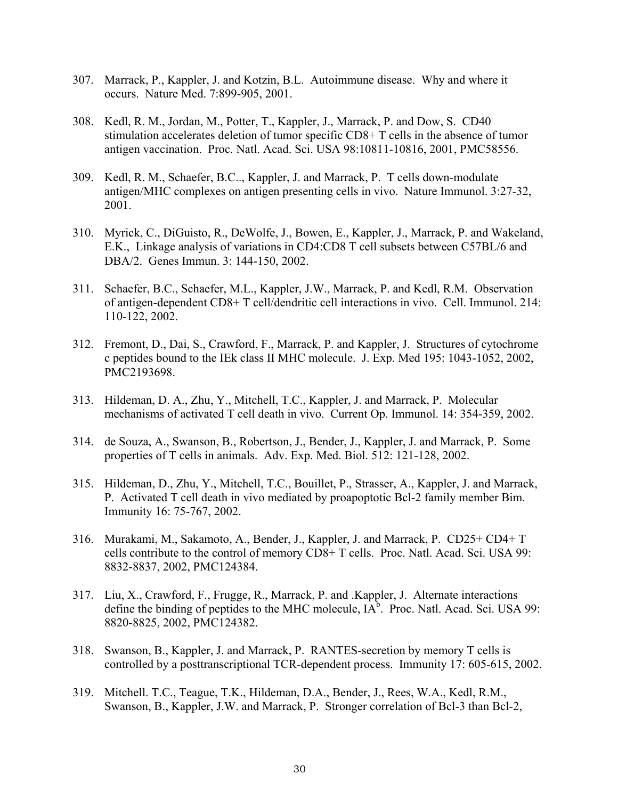- 307. Marrack, P., Kappler, J. and Kotzin, B.L. Autoimmune disease. Why and where it occurs. Nature Med. 7:899-905, 2001.
- 308. Kedl, R. M., Jordan, M., Potter, T., Kappler, J., Marrack, P. and Dow, S. CD40 stimulation accelerates deletion of tumor specific CD8+ T cells in the absence of tumor antigen vaccination. Proc. Natl. Acad. Sci. USA 98:10811-10816, 2001, PMC58556.
- 309. Kedl, R. M., Schaefer, B.C.., Kappler, J. and Marrack, P. T cells down-modulate antigen/MHC complexes on antigen presenting cells in vivo. Nature Immunol. 3:27-32, 2001.
- 310. Myrick, C., DiGuisto, R., DeWolfe, J., Bowen, E., Kappler, J., Marrack, P. and Wakeland, E.K., Linkage analysis of variations in CD4:CD8 T cell subsets between C57BL/6 and DBA/2. Genes Immun. 3: 144-150, 2002.
- 311. Schaefer, B.C., Schaefer, M.L., Kappler, J.W., Marrack, P. and Kedl, R.M. Observation of antigen-dependent CD8+ T cell/dendritic cell interactions in vivo. Cell. Immunol. 214: 110-122, 2002.
- 312. Fremont, D., Dai, S., Crawford, F., Marrack, P. and Kappler, J. Structures of cytochrome c peptides bound to the IEk class II MHC molecule. J. Exp. Med 195: 1043-1052, 2002, PMC2193698.
- 313. Hildeman, D. A., Zhu, Y., Mitchell, T.C., Kappler, J. and Marrack, P. Molecular mechanisms of activated T cell death in vivo. Current Op. Immunol. 14: 354-359, 2002.
- 314. de Souza, A., Swanson, B., Robertson, J., Bender, J., Kappler, J. and Marrack, P. Some properties of T cells in animals. Adv. Exp. Med. Biol. 512: 121-128, 2002.
- 315. Hildeman, D., Zhu, Y., Mitchell, T.C., Bouillet, P., Strasser, A., Kappler, J. and Marrack, P. Activated T cell death in vivo mediated by proapoptotic Bcl-2 family member Bim. Immunity 16: 75-767, 2002.
- 316. Murakami, M., Sakamoto, A., Bender, J., Kappler, J. and Marrack, P. CD25+ CD4+ T cells contribute to the control of memory CD8+ T cells. Proc. Natl. Acad. Sci. USA 99: 8832-8837, 2002, PMC124384.
- 317. Liu, X., Crawford, F., Frugge, R., Marrack, P. and .Kappler, J. Alternate interactions define the binding of peptides to the MHC molecule,  $IA<sup>b</sup>$ . Proc. Natl. Acad. Sci. USA 99: 8820-8825, 2002, PMC124382.
- 318. Swanson, B., Kappler, J. and Marrack, P. RANTES-secretion by memory T cells is controlled by a posttranscriptional TCR-dependent process. Immunity 17: 605-615, 2002.
- 319. Mitchell. T.C., Teague, T.K., Hildeman, D.A., Bender, J., Rees, W.A., Kedl, R.M., Swanson, B., Kappler, J.W. and Marrack, P. Stronger correlation of Bcl-3 than Bcl-2,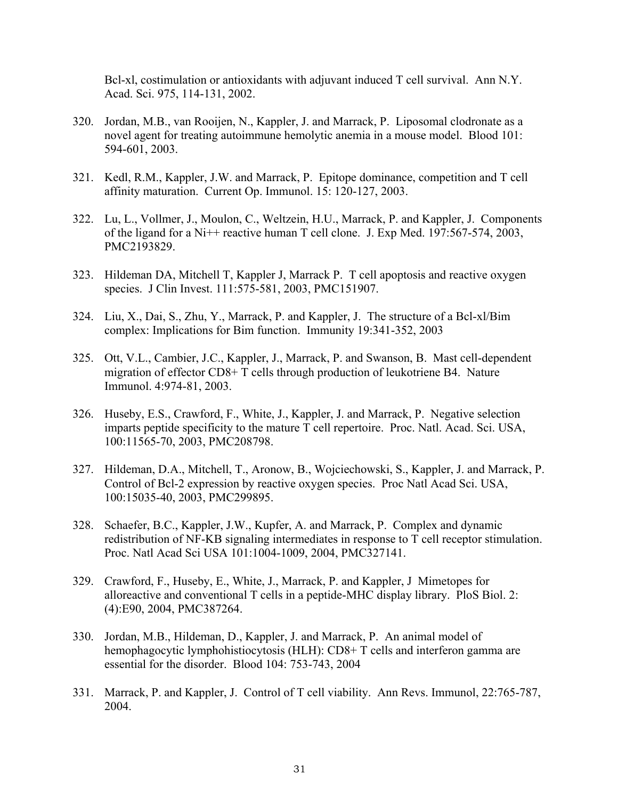Bcl-xl, costimulation or antioxidants with adjuvant induced T cell survival. Ann N.Y. Acad. Sci. 975, 114-131, 2002.

- 320. Jordan, M.B., van Rooijen, N., Kappler, J. and Marrack, P. Liposomal clodronate as a novel agent for treating autoimmune hemolytic anemia in a mouse model. Blood 101: 594-601, 2003.
- 321. Kedl, R.M., Kappler, J.W. and Marrack, P. Epitope dominance, competition and T cell affinity maturation. Current Op. Immunol. 15: 120-127, 2003.
- 322. Lu, L., Vollmer, J., Moulon, C., Weltzein, H.U., Marrack, P. and Kappler, J. Components of the ligand for a Ni++ reactive human T cell clone. J. Exp Med. 197:567-574, 2003, PMC2193829.
- 323. Hildeman DA, Mitchell T, Kappler J, Marrack P. T cell apoptosis and reactive oxygen species. J Clin Invest. 111:575-581, 2003, PMC151907.
- 324. Liu, X., Dai, S., Zhu, Y., Marrack, P. and Kappler, J. The structure of a Bcl-xl/Bim complex: Implications for Bim function. Immunity 19:341-352, 2003
- 325. Ott, V.L., Cambier, J.C., Kappler, J., Marrack, P. and Swanson, B. Mast cell-dependent migration of effector CD8+ T cells through production of leukotriene B4. Nature Immunol. 4:974-81, 2003.
- 326. Huseby, E.S., Crawford, F., White, J., Kappler, J. and Marrack, P. Negative selection imparts peptide specificity to the mature T cell repertoire. Proc. Natl. Acad. Sci. USA, 100:11565-70, 2003, PMC208798.
- 327. Hildeman, D.A., Mitchell, T., Aronow, B., Wojciechowski, S., Kappler, J. and Marrack, P. Control of Bcl-2 expression by reactive oxygen species. Proc Natl Acad Sci. USA, 100:15035-40, 2003, PMC299895.
- 328. Schaefer, B.C., Kappler, J.W., Kupfer, A. and Marrack, P. Complex and dynamic redistribution of NF-KB signaling intermediates in response to T cell receptor stimulation. Proc. Natl Acad Sci USA 101:1004-1009, 2004, PMC327141.
- 329. Crawford, F., Huseby, E., White, J., Marrack, P. and Kappler, J Mimetopes for alloreactive and conventional T cells in a peptide-MHC display library. PloS Biol. 2: (4):E90, 2004, PMC387264.
- 330. Jordan, M.B., Hildeman, D., Kappler, J. and Marrack, P. An animal model of hemophagocytic lymphohistiocytosis (HLH): CD8+ T cells and interferon gamma are essential for the disorder. Blood 104: 753-743, 2004
- 331. Marrack, P. and Kappler, J. Control of T cell viability. Ann Revs. Immunol, 22:765-787, 2004.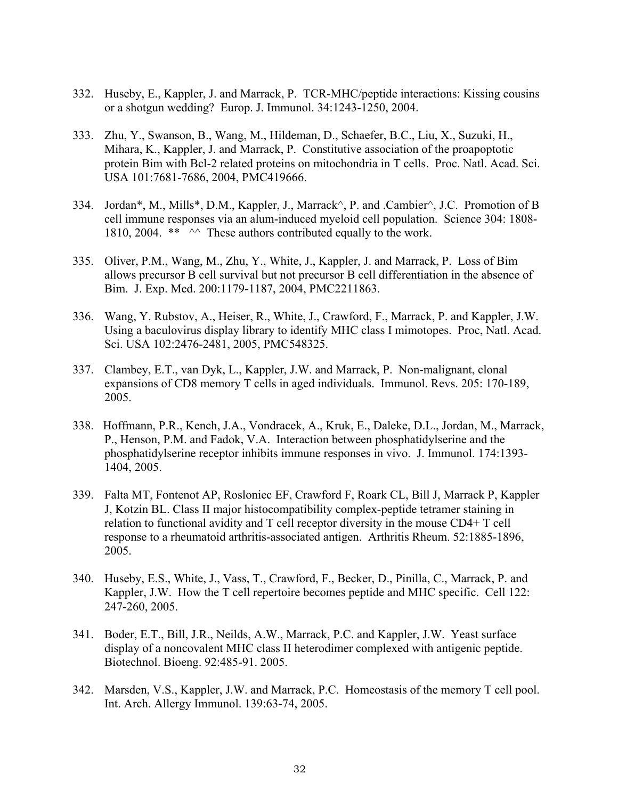- 332. Huseby, E., Kappler, J. and Marrack, P. TCR-MHC/peptide interactions: Kissing cousins or a shotgun wedding? Europ. J. Immunol. 34:1243-1250, 2004.
- 333. Zhu, Y., Swanson, B., Wang, M., Hildeman, D., Schaefer, B.C., Liu, X., Suzuki, H., Mihara, K., Kappler, J. and Marrack, P. Constitutive association of the proapoptotic protein Bim with Bcl-2 related proteins on mitochondria in T cells. Proc. Natl. Acad. Sci. USA 101:7681-7686, 2004, PMC419666.
- 334. Jordan\*, M., Mills\*, D.M., Kappler, J., Marrack^, P. and .Cambier^, J.C. Promotion of B cell immune responses via an alum-induced myeloid cell population. Science 304: 1808- 1810, 2004. \*\*  $\sim$  These authors contributed equally to the work.
- 335. Oliver, P.M., Wang, M., Zhu, Y., White, J., Kappler, J. and Marrack, P. Loss of Bim allows precursor B cell survival but not precursor B cell differentiation in the absence of Bim. J. Exp. Med. 200:1179-1187, 2004, PMC2211863.
- 336. Wang, Y. Rubstov, A., Heiser, R., White, J., Crawford, F., Marrack, P. and Kappler, J.W. Using a baculovirus display library to identify MHC class I mimotopes. Proc, Natl. Acad. Sci. USA 102:2476-2481, 2005, PMC548325.
- 337. Clambey, E.T., van Dyk, L., Kappler, J.W. and Marrack, P. Non-malignant, clonal expansions of CD8 memory T cells in aged individuals. Immunol. Revs. 205: 170-189, 2005.
- 338. Hoffmann, P.R., Kench, J.A., Vondracek, A., Kruk, E., Daleke, D.L., Jordan, M., Marrack, P., Henson, P.M. and Fadok, V.A. Interaction between phosphatidylserine and the phosphatidylserine receptor inhibits immune responses in vivo. J. Immunol. 174:1393- 1404, 2005.
- 339. Falta MT, Fontenot AP, Rosloniec EF, Crawford F, Roark CL, Bill J, Marrack P, Kappler J, Kotzin BL. Class II major histocompatibility complex-peptide tetramer staining in relation to functional avidity and T cell receptor diversity in the mouse CD4+ T cell response to a rheumatoid arthritis-associated antigen. Arthritis Rheum. 52:1885-1896, 2005.
- 340. Huseby, E.S., White, J., Vass, T., Crawford, F., Becker, D., Pinilla, C., Marrack, P. and Kappler, J.W. How the T cell repertoire becomes peptide and MHC specific. Cell 122: 247-260, 2005.
- 341. Boder, E.T., Bill, J.R., Neilds, A.W., Marrack, P.C. and Kappler, J.W. Yeast surface display of a noncovalent MHC class II heterodimer complexed with antigenic peptide. Biotechnol. Bioeng. 92:485-91. 2005.
- 342. Marsden, V.S., Kappler, J.W. and Marrack, P.C. Homeostasis of the memory T cell pool. Int. Arch. Allergy Immunol. 139:63-74, 2005.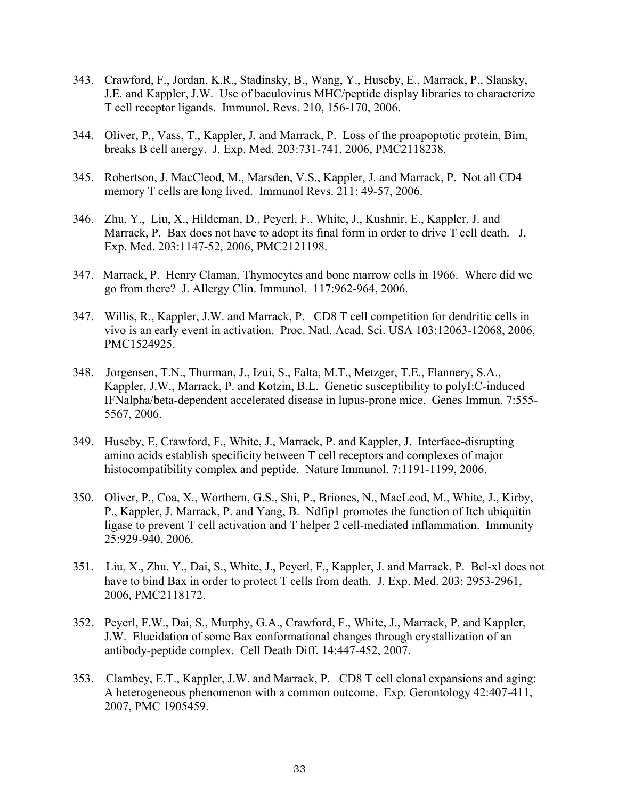- 343. Crawford, F., Jordan, K.R., Stadinsky, B., Wang, Y., Huseby, E., Marrack, P., Slansky, J.E. and Kappler, J.W. Use of baculovirus MHC/peptide display libraries to characterize T cell receptor ligands. Immunol. Revs. 210, 156-170, 2006.
- 344. Oliver, P., Vass, T., Kappler, J. and Marrack, P. Loss of the proapoptotic protein, Bim, breaks B cell anergy. J. Exp. Med. 203:731-741, 2006, PMC2118238.
- 345. Robertson, J. MacCleod, M., Marsden, V.S., Kappler, J. and Marrack, P. Not all CD4 memory T cells are long lived. Immunol Revs. 211: 49-57, 2006.
- 346. Zhu, Y., Liu, X., Hildeman, D., Peyerl, F., White, J., Kushnir, E., Kappler, J. and Marrack, P. Bax does not have to adopt its final form in order to drive T cell death. J. Exp. Med. 203:1147-52, 2006, PMC2121198.
- 347. Marrack, P. Henry Claman, Thymocytes and bone marrow cells in 1966. Where did we go from there? J. Allergy Clin. Immunol. 117:962-964, 2006.
- 347. Willis, R., Kappler, J.W. and Marrack, P. CD8 T cell competition for dendritic cells in vivo is an early event in activation. Proc. Natl. Acad. Sci. USA 103:12063-12068, 2006, PMC1524925.
- 348. Jorgensen, T.N., Thurman, J., Izui, S., Falta, M.T., Metzger, T.E., Flannery, S.A., Kappler, J.W., Marrack, P. and Kotzin, B.L. Genetic susceptibility to polyI:C-induced IFNalpha/beta-dependent accelerated disease in lupus-prone mice. Genes Immun. 7:555- 5567, 2006.
- 349. Huseby, E, Crawford, F., White, J., Marrack, P. and Kappler, J. Interface-disrupting amino acids establish specificity between T cell receptors and complexes of major histocompatibility complex and peptide. Nature Immunol. 7:1191-1199, 2006.
- 350. Oliver, P., Coa, X., Worthern, G.S., Shi, P., Briones, N., MacLeod, M., White, J., Kirby, P., Kappler, J. Marrack, P. and Yang, B. Ndfip1 promotes the function of Itch ubiquitin ligase to prevent T cell activation and T helper 2 cell-mediated inflammation. Immunity 25:929-940, 2006.
- 351. Liu, X., Zhu, Y., Dai, S., White, J., Peyerl, F., Kappler, J. and Marrack, P. Bcl-xl does not have to bind Bax in order to protect T cells from death. J. Exp. Med. 203: 2953-2961, 2006*,* PMC2118172.
- 352. Peyerl, F.W., Dai, S., Murphy, G.A., Crawford, F., White, J., Marrack, P. and Kappler, J.W. Elucidation of some Bax conformational changes through crystallization of an antibody-peptide complex. Cell Death Diff. 14:447-452, 2007.
- 353. Clambey, E.T., Kappler, J.W. and Marrack, P. CD8 T cell clonal expansions and aging: A heterogeneous phenomenon with a common outcome. Exp. Gerontology 42:407-411, 2007, PMC 1905459.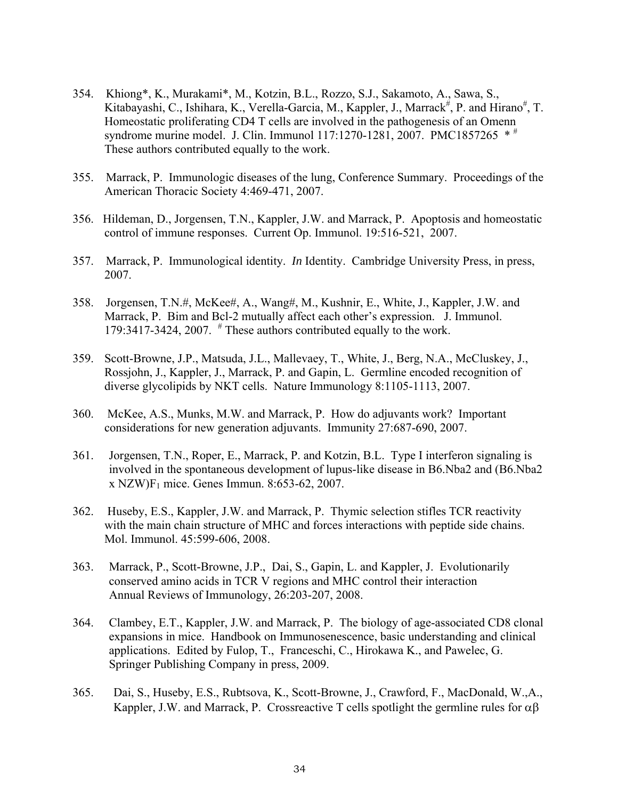- 354. Khiong\*, K., Murakami\*, M., Kotzin, B.L., Rozzo, S.J., Sakamoto, A., Sawa, S., Kitabayashi, C., Ishihara, K., Verella-Garcia, M., Kappler, J., Marrack<sup>#</sup>, P. and Hirano<sup>#</sup>, T. Homeostatic proliferating CD4 T cells are involved in the pathogenesis of an Omenn syndrome murine model. J. Clin. Immunol 117:1270-1281, 2007. PMC1857265  $*$ # These authors contributed equally to the work.
- 355. Marrack, P. Immunologic diseases of the lung, Conference Summary. Proceedings of the American Thoracic Society 4:469-471, 2007.
- 356. Hildeman, D., Jorgensen, T.N., Kappler, J.W. and Marrack, P. Apoptosis and homeostatic control of immune responses. Current Op. Immunol. 19:516-521, 2007.
- 357. Marrack, P. Immunological identity. *In* Identity. Cambridge University Press, in press, 2007.
- 358. Jorgensen, T.N.#, McKee#, A., Wang#, M., Kushnir, E., White, J., Kappler, J.W. and Marrack, P. Bim and Bcl-2 mutually affect each other's expression. J. Immunol. 179:3417-3424, 2007.  $^{\#}$  These authors contributed equally to the work.
- 359. Scott-Browne, J.P., Matsuda, J.L., Mallevaey, T., White, J., Berg, N.A., McCluskey, J., Rossjohn, J., Kappler, J., Marrack, P. and Gapin, L. Germline encoded recognition of diverse glycolipids by NKT cells. Nature Immunology 8:1105-1113, 2007.
- 360. McKee, A.S., Munks, M.W. and Marrack, P. How do adjuvants work? Important considerations for new generation adjuvants. Immunity 27:687-690, 2007.
- 361. Jorgensen, T.N., Roper, E., Marrack, P. and Kotzin, B.L. Type I interferon signaling is involved in the spontaneous development of lupus-like disease in B6.Nba2 and (B6.Nba2 x NZW)F1 mice. Genes Immun. 8:653-62, 2007.
- 362. Huseby, E.S., Kappler, J.W. and Marrack, P. Thymic selection stifles TCR reactivity with the main chain structure of MHC and forces interactions with peptide side chains. Mol. Immunol. 45:599-606, 2008.
- 363.Marrack, P., Scott-Browne, J.P., Dai, S., Gapin, L. and Kappler, J. Evolutionarily conserved amino acids in TCR V regions and MHC control their interaction Annual Reviews of Immunology, 26:203-207, 2008.
- 364. Clambey, E.T., Kappler, J.W. and Marrack, P. The biology of age-associated CD8 clonal expansions in mice. Handbook on Immunosenescence, basic understanding and clinical applications. Edited by Fulop, T., Franceschi, C., Hirokawa K., and Pawelec, G. Springer Publishing Company in press, 2009.
- 365. Dai, S., Huseby, E.S., Rubtsova, K., Scott-Browne, J., Crawford, F., MacDonald, W.,A., Kappler, J.W. and Marrack, P. Crossreactive T cells spotlight the germline rules for  $\alpha\beta$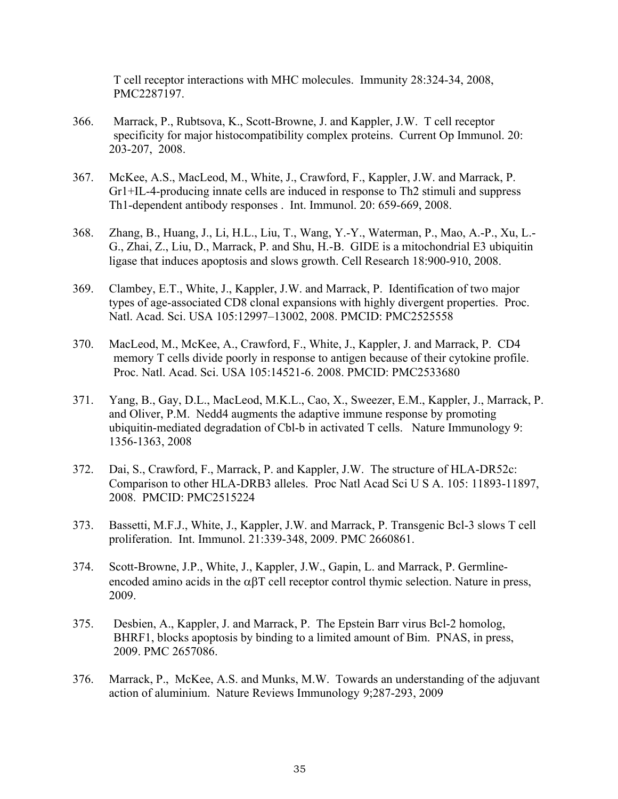T cell receptor interactions with MHC molecules. Immunity 28:324-34, 2008, PMC2287197.

- 366. Marrack, P., Rubtsova, K., Scott-Browne, J. and Kappler, J.W. T cell receptor specificity for major histocompatibility complex proteins. Current Op Immunol. 20: 203-207, 2008.
- 367. McKee, A.S., MacLeod, M., White, J., Crawford, F., Kappler, J.W. and Marrack, P. Gr1+IL-4-producing innate cells are induced in response to Th2 stimuli and suppress Th1-dependent antibody responses . Int. Immunol. 20: 659-669, 2008.
- 368. Zhang, B., Huang, J., Li, H.L., Liu, T., Wang, Y.-Y., Waterman, P., Mao, A.-P., Xu, L.- G., Zhai, Z., Liu, D., Marrack, P. and Shu, H.-B. GIDE is a mitochondrial E3 ubiquitin ligase that induces apoptosis and slows growth. Cell Research 18:900-910, 2008.
- 369. Clambey, E.T., White, J., Kappler, J.W. and Marrack, P. Identification of two major types of age-associated CD8 clonal expansions with highly divergent properties. Proc. Natl. Acad. Sci. USA 105:12997–13002, 2008. PMCID: PMC2525558
- 370. MacLeod, M., McKee, A., Crawford, F., White, J., Kappler, J. and Marrack, P. CD4 memory T cells divide poorly in response to antigen because of their cytokine profile. Proc. Natl. Acad. Sci. USA 105:14521-6. 2008. PMCID: PMC2533680
- 371. Yang, B., Gay, D.L., MacLeod, M.K.L., Cao, X., Sweezer, E.M., Kappler, J., Marrack, P. and Oliver, P.M. Nedd4 augments the adaptive immune response by promoting ubiquitin-mediated degradation of Cbl-b in activated T cells. Nature Immunology 9: 1356-1363, 2008
- 372. Dai, S., Crawford, F., Marrack, P. and Kappler, J.W. The structure of HLA-DR52c: Comparison to other HLA-DRB3 alleles. Proc Natl Acad Sci U S A. 105: 11893-11897, 2008. PMCID: PMC2515224
- 373. Bassetti, M.F.J., White, J., Kappler, J.W. and Marrack, P. Transgenic Bcl-3 slows T cell proliferation. Int. Immunol. 21:339-348, 2009. PMC 2660861.
- 374. Scott-Browne, J.P., White, J., Kappler, J.W., Gapin, L. and Marrack, P. Germlineencoded amino acids in the  $\alpha\beta T$  cell receptor control thymic selection. Nature in press, 2009.
- 375. Desbien, A., Kappler, J. and Marrack, P. The Epstein Barr virus Bcl-2 homolog, BHRF1, blocks apoptosis by binding to a limited amount of Bim. PNAS, in press, 2009. PMC 2657086.
- 376. Marrack, P., McKee, A.S. and Munks, M.W. Towards an understanding of the adjuvant action of aluminium. Nature Reviews Immunology 9;287-293, 2009